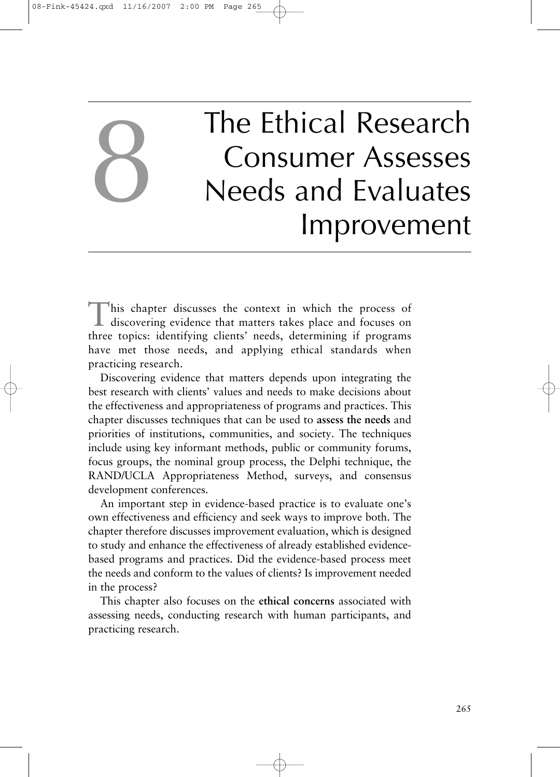This chapter discusses the context in which the process of discovering evidence that matters takes place and focuses on three topics: identifying clients' needs, determining if programs have met those needs, and applying ethical standards when practicing research.

Discovering evidence that matters depends upon integrating the best research with clients' values and needs to make decisions about the effectiveness and appropriateness of programs and practices. This chapter discusses techniques that can be used to **assess the needs** and priorities of institutions, communities, and society. The techniques include using key informant methods, public or community forums, focus groups, the nominal group process, the Delphi technique, the RAND/UCLA Appropriateness Method, surveys, and consensus development conferences.

An important step in evidence-based practice is to evaluate one's own effectiveness and efficiency and seek ways to improve both. The chapter therefore discusses improvement evaluation, which is designed to study and enhance the effectiveness of already established evidencebased programs and practices. Did the evidence-based process meet the needs and conform to the values of clients? Is improvement needed in the process?

This chapter also focuses on the **ethical concerns** associated with assessing needs, conducting research with human participants, and practicing research.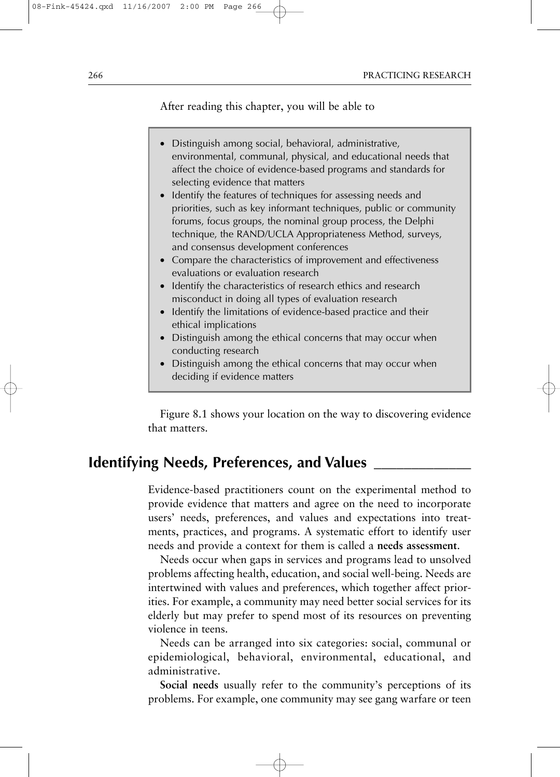After reading this chapter, you will be able to

- Distinguish among social, behavioral, administrative, environmental, communal, physical, and educational needs that affect the choice of evidence-based programs and standards for selecting evidence that matters
- Identify the features of techniques for assessing needs and priorities, such as key informant techniques, public or community forums, focus groups, the nominal group process, the Delphi technique, the RAND/UCLA Appropriateness Method, surveys, and consensus development conferences
- Compare the characteristics of improvement and effectiveness evaluations or evaluation research
- Identify the characteristics of research ethics and research misconduct in doing all types of evaluation research
- Identify the limitations of evidence-based practice and their ethical implications
- Distinguish among the ethical concerns that may occur when conducting research
- Distinguish among the ethical concerns that may occur when deciding if evidence matters

Figure 8.1 shows your location on the way to discovering evidence that matters.

## **Identifying Needs, Preferences, and Values \_\_\_\_\_\_\_\_\_\_\_\_\_**

Evidence-based practitioners count on the experimental method to provide evidence that matters and agree on the need to incorporate users' needs, preferences, and values and expectations into treatments, practices, and programs. A systematic effort to identify user needs and provide a context for them is called a **needs assessment**.

Needs occur when gaps in services and programs lead to unsolved problems affecting health, education, and social well-being. Needs are intertwined with values and preferences, which together affect priorities. For example, a community may need better social services for its elderly but may prefer to spend most of its resources on preventing violence in teens.

Needs can be arranged into six categories: social, communal or epidemiological, behavioral, environmental, educational, and administrative.

**Social needs** usually refer to the community's perceptions of its problems. For example, one community may see gang warfare or teen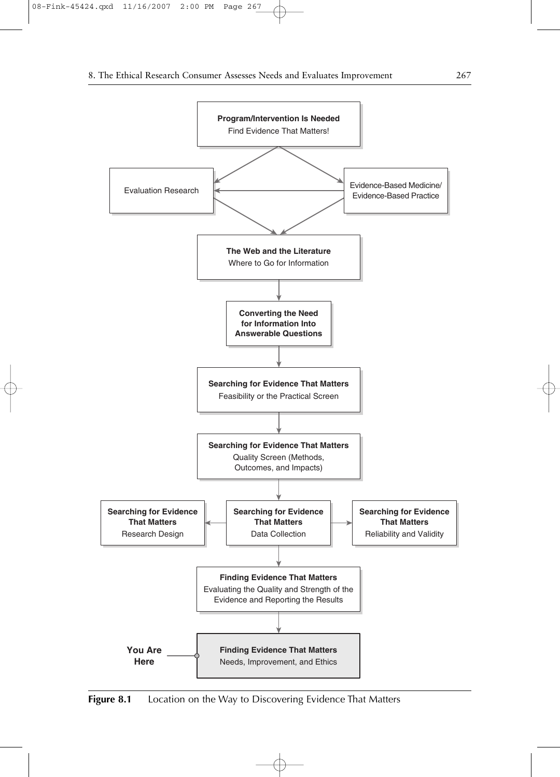

Figure 8.1 Location on the Way to Discovering Evidence That Matters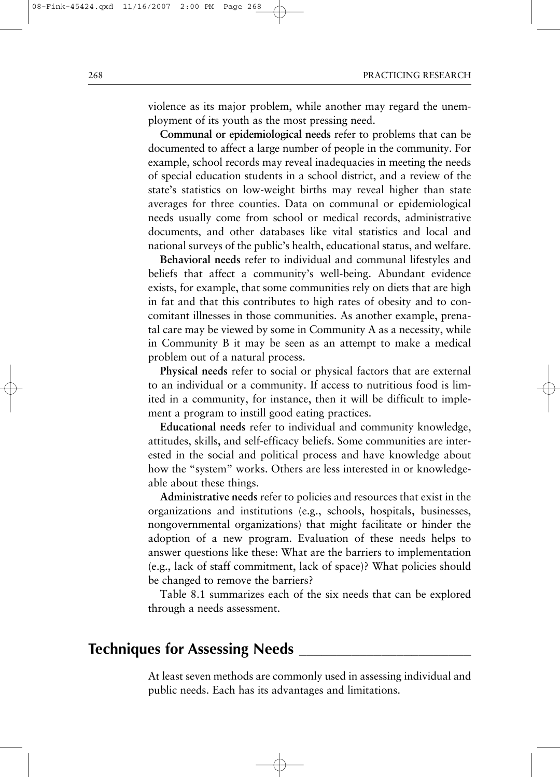violence as its major problem, while another may regard the unemployment of its youth as the most pressing need.

**Communal or epidemiological needs** refer to problems that can be documented to affect a large number of people in the community. For example, school records may reveal inadequacies in meeting the needs of special education students in a school district, and a review of the state's statistics on low-weight births may reveal higher than state averages for three counties. Data on communal or epidemiological needs usually come from school or medical records, administrative documents, and other databases like vital statistics and local and national surveys of the public's health, educational status, and welfare.

**Behavioral needs** refer to individual and communal lifestyles and beliefs that affect a community's well-being. Abundant evidence exists, for example, that some communities rely on diets that are high in fat and that this contributes to high rates of obesity and to concomitant illnesses in those communities. As another example, prenatal care may be viewed by some in Community A as a necessity, while in Community B it may be seen as an attempt to make a medical problem out of a natural process.

**Physical needs** refer to social or physical factors that are external to an individual or a community. If access to nutritious food is limited in a community, for instance, then it will be difficult to implement a program to instill good eating practices.

**Educational needs** refer to individual and community knowledge, attitudes, skills, and self-efficacy beliefs. Some communities are interested in the social and political process and have knowledge about how the "system" works. Others are less interested in or knowledgeable about these things.

**Administrative needs** refer to policies and resources that exist in the organizations and institutions (e.g., schools, hospitals, businesses, nongovernmental organizations) that might facilitate or hinder the adoption of a new program. Evaluation of these needs helps to answer questions like these: What are the barriers to implementation (e.g., lack of staff commitment, lack of space)? What policies should be changed to remove the barriers?

Table 8.1 summarizes each of the six needs that can be explored through a needs assessment.

## **Techniques for Assessing Needs \_\_\_\_\_\_\_\_\_\_\_\_\_\_\_\_\_\_\_\_\_\_\_**

At least seven methods are commonly used in assessing individual and public needs. Each has its advantages and limitations.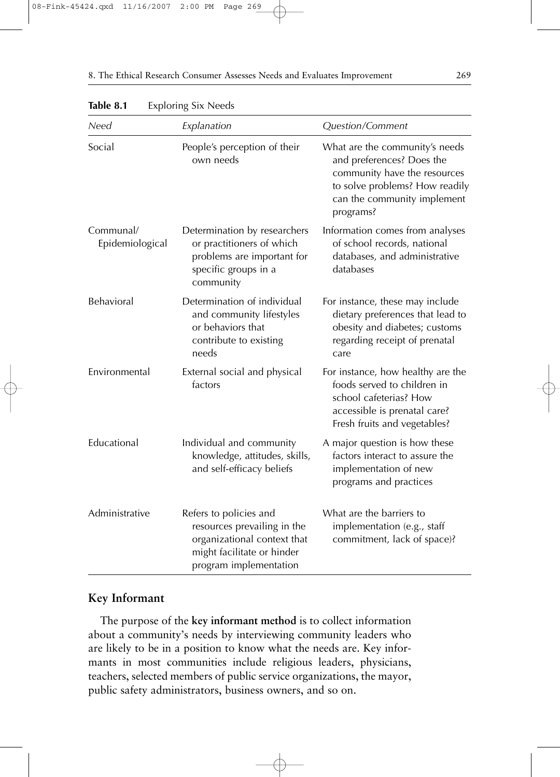| 8. The Ethical Research Consumer Assesses Needs and Evaluates Improvement | 269 |  |  |  |
|---------------------------------------------------------------------------|-----|--|--|--|
|---------------------------------------------------------------------------|-----|--|--|--|

| Need                         | Explanation                                                                                                                                  | Question/Comment                                                                                                                                                          |
|------------------------------|----------------------------------------------------------------------------------------------------------------------------------------------|---------------------------------------------------------------------------------------------------------------------------------------------------------------------------|
| Social                       | People's perception of their<br>own needs                                                                                                    | What are the community's needs<br>and preferences? Does the<br>community have the resources<br>to solve problems? How readily<br>can the community implement<br>programs? |
| Communal/<br>Epidemiological | Determination by researchers<br>or practitioners of which<br>problems are important for<br>specific groups in a<br>community                 | Information comes from analyses<br>of school records, national<br>databases, and administrative<br>databases                                                              |
| Behavioral                   | Determination of individual<br>and community lifestyles<br>or behaviors that<br>contribute to existing<br>needs                              | For instance, these may include<br>dietary preferences that lead to<br>obesity and diabetes; customs<br>regarding receipt of prenatal<br>care                             |
| Environmental                | External social and physical<br>factors                                                                                                      | For instance, how healthy are the<br>foods served to children in<br>school cafeterias? How<br>accessible is prenatal care?<br>Fresh fruits and vegetables?                |
| Educational                  | Individual and community<br>knowledge, attitudes, skills,<br>and self-efficacy beliefs                                                       | A major question is how these<br>factors interact to assure the<br>implementation of new<br>programs and practices                                                        |
| Administrative               | Refers to policies and<br>resources prevailing in the<br>organizational context that<br>might facilitate or hinder<br>program implementation | What are the barriers to<br>implementation (e.g., staff<br>commitment, lack of space)?                                                                                    |

**Table 8.1** Exploring Six Needs

## **Key Informant**

The purpose of the **key informant method** is to collect information about a community's needs by interviewing community leaders who are likely to be in a position to know what the needs are. Key informants in most communities include religious leaders, physicians, teachers, selected members of public service organizations, the mayor, public safety administrators, business owners, and so on.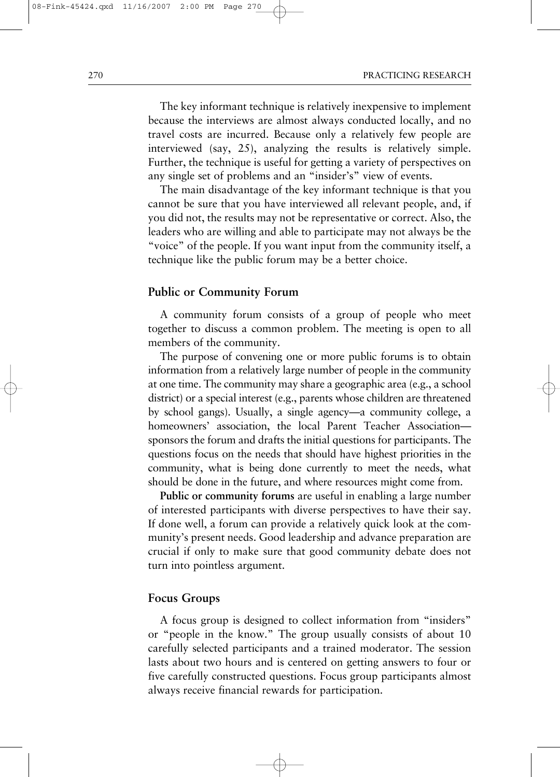The key informant technique is relatively inexpensive to implement because the interviews are almost always conducted locally, and no travel costs are incurred. Because only a relatively few people are interviewed (say, 25), analyzing the results is relatively simple. Further, the technique is useful for getting a variety of perspectives on any single set of problems and an "insider's" view of events.

The main disadvantage of the key informant technique is that you cannot be sure that you have interviewed all relevant people, and, if you did not, the results may not be representative or correct. Also, the leaders who are willing and able to participate may not always be the "voice" of the people. If you want input from the community itself, a technique like the public forum may be a better choice.

#### **Public or Community Forum**

A community forum consists of a group of people who meet together to discuss a common problem. The meeting is open to all members of the community.

The purpose of convening one or more public forums is to obtain information from a relatively large number of people in the community at one time. The community may share a geographic area (e.g., a school district) or a special interest (e.g., parents whose children are threatened by school gangs). Usually, a single agency—a community college, a homeowners' association, the local Parent Teacher Association sponsors the forum and drafts the initial questions for participants. The questions focus on the needs that should have highest priorities in the community, what is being done currently to meet the needs, what should be done in the future, and where resources might come from.

**Public or community forums** are useful in enabling a large number of interested participants with diverse perspectives to have their say. If done well, a forum can provide a relatively quick look at the community's present needs. Good leadership and advance preparation are crucial if only to make sure that good community debate does not turn into pointless argument.

#### **Focus Groups**

A focus group is designed to collect information from "insiders" or "people in the know." The group usually consists of about 10 carefully selected participants and a trained moderator. The session lasts about two hours and is centered on getting answers to four or five carefully constructed questions. Focus group participants almost always receive financial rewards for participation.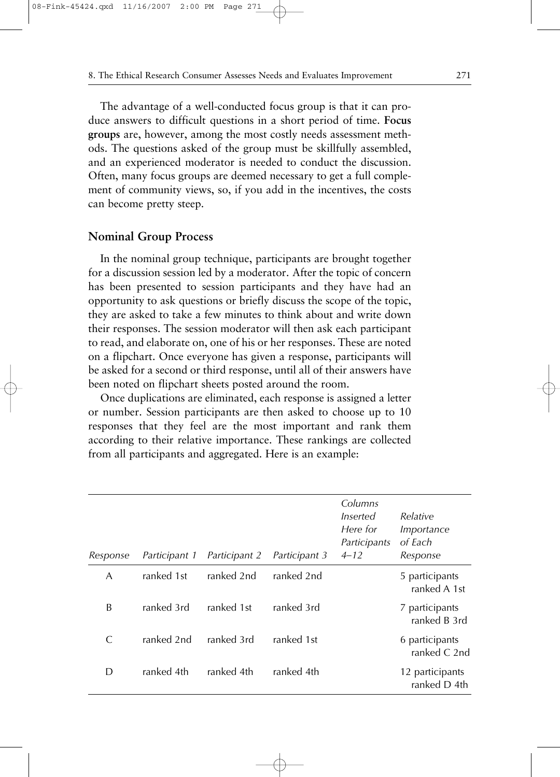The advantage of a well-conducted focus group is that it can produce answers to difficult questions in a short period of time. **Focus groups** are, however, among the most costly needs assessment methods. The questions asked of the group must be skillfully assembled, and an experienced moderator is needed to conduct the discussion. Often, many focus groups are deemed necessary to get a full complement of community views, so, if you add in the incentives, the costs can become pretty steep.

#### **Nominal Group Process**

In the nominal group technique, participants are brought together for a discussion session led by a moderator. After the topic of concern has been presented to session participants and they have had an opportunity to ask questions or briefly discuss the scope of the topic, they are asked to take a few minutes to think about and write down their responses. The session moderator will then ask each participant to read, and elaborate on, one of his or her responses. These are noted on a flipchart. Once everyone has given a response, participants will be asked for a second or third response, until all of their answers have been noted on flipchart sheets posted around the room.

Once duplications are eliminated, each response is assigned a letter or number. Session participants are then asked to choose up to 10 responses that they feel are the most important and rank them according to their relative importance. These rankings are collected from all participants and aggregated. Here is an example:

| Response  | Participant 1 | Participant 2 | Participant 3 | Columns<br>Inserted<br>Here for<br>Participants<br>$4 - 12$ | Relative<br>Importance<br>of Each<br>Response |
|-----------|---------------|---------------|---------------|-------------------------------------------------------------|-----------------------------------------------|
| A         | ranked 1st    | ranked 2nd    | ranked 2nd    |                                                             | 5 participants<br>ranked A 1st                |
| B         | ranked 3rd    | ranked 1st    | ranked 3rd    |                                                             | 7 participants<br>ranked B 3rd                |
| $\subset$ | ranked 2nd    | ranked 3rd    | ranked 1st    |                                                             | 6 participants<br>ranked C 2nd                |
| D         | ranked 4th    | ranked 4th    | ranked 4th    |                                                             | 12 participants<br>ranked D 4th               |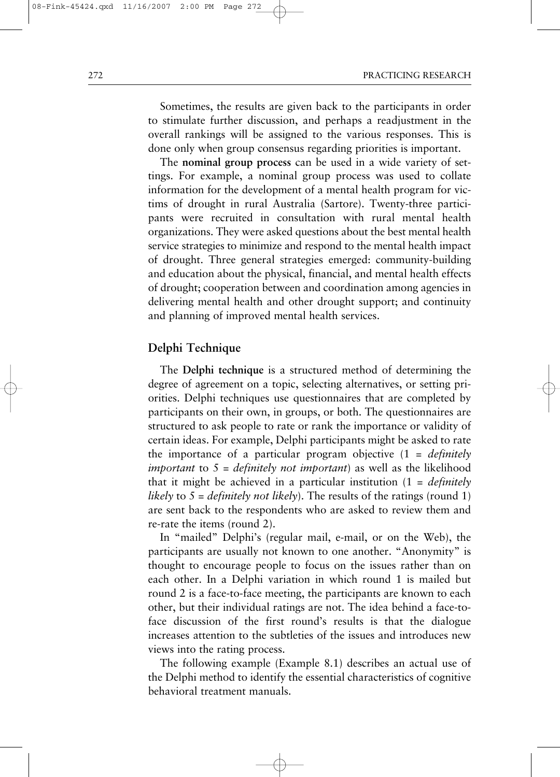Sometimes, the results are given back to the participants in order to stimulate further discussion, and perhaps a readjustment in the overall rankings will be assigned to the various responses. This is done only when group consensus regarding priorities is important.

The **nominal group process** can be used in a wide variety of settings. For example, a nominal group process was used to collate information for the development of a mental health program for victims of drought in rural Australia (Sartore). Twenty-three participants were recruited in consultation with rural mental health organizations. They were asked questions about the best mental health service strategies to minimize and respond to the mental health impact of drought. Three general strategies emerged: community-building and education about the physical, financial, and mental health effects of drought; cooperation between and coordination among agencies in delivering mental health and other drought support; and continuity and planning of improved mental health services.

#### **Delphi Technique**

The **Delphi technique** is a structured method of determining the degree of agreement on a topic, selecting alternatives, or setting priorities. Delphi techniques use questionnaires that are completed by participants on their own, in groups, or both. The questionnaires are structured to ask people to rate or rank the importance or validity of certain ideas. For example, Delphi participants might be asked to rate the importance of a particular program objective (1 = *definitely important* to 5 = *definitely not important*) as well as the likelihood that it might be achieved in a particular institution (1 = *definitely likely* to 5 = *definitely not likely*). The results of the ratings (round 1) are sent back to the respondents who are asked to review them and re-rate the items (round 2).

In "mailed" Delphi's (regular mail, e-mail, or on the Web), the participants are usually not known to one another. "Anonymity" is thought to encourage people to focus on the issues rather than on each other. In a Delphi variation in which round 1 is mailed but round 2 is a face-to-face meeting, the participants are known to each other, but their individual ratings are not. The idea behind a face-toface discussion of the first round's results is that the dialogue increases attention to the subtleties of the issues and introduces new views into the rating process.

The following example (Example 8.1) describes an actual use of the Delphi method to identify the essential characteristics of cognitive behavioral treatment manuals.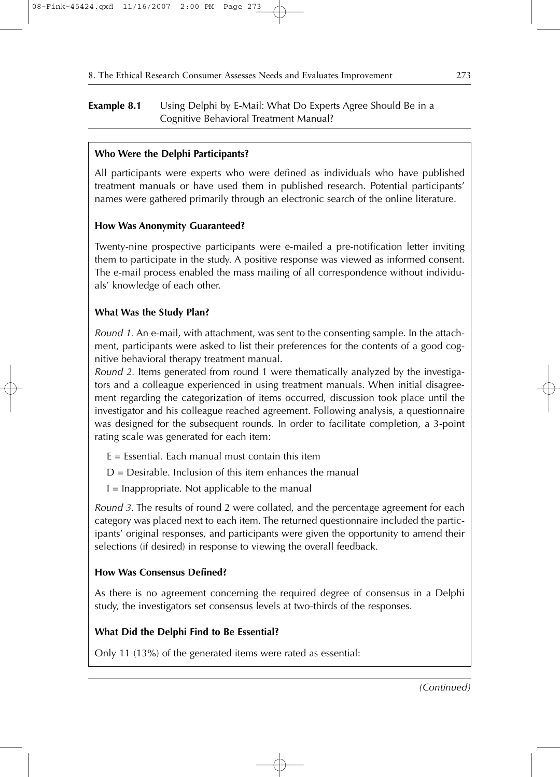#### **Example 8.1** Using Delphi by E-Mail: What Do Experts Agree Should Be in a Cognitive Behavioral Treatment Manual?

#### **Who Were the Delphi Participants?**

All participants were experts who were defined as individuals who have published treatment manuals or have used them in published research. Potential participants' names were gathered primarily through an electronic search of the online literature.

#### **How Was Anonymity Guaranteed?**

Twenty-nine prospective participants were e-mailed a pre-notification letter inviting them to participate in the study. A positive response was viewed as informed consent. The e-mail process enabled the mass mailing of all correspondence without individuals' knowledge of each other.

#### **What Was the Study Plan?**

*Round 1.* An e-mail, with attachment, was sent to the consenting sample. In the attachment, participants were asked to list their preferences for the contents of a good cognitive behavioral therapy treatment manual.

*Round 2.* Items generated from round 1 were thematically analyzed by the investigators and a colleague experienced in using treatment manuals. When initial disagreement regarding the categorization of items occurred, discussion took place until the investigator and his colleague reached agreement. Following analysis, a questionnaire was designed for the subsequent rounds. In order to facilitate completion, a 3-point rating scale was generated for each item:

- $E =$  Essential. Each manual must contain this item
- $D =$  Desirable. Inclusion of this item enhances the manual
- $I = Inappropriate. Not applicable to the manual$

*Round 3.* The results of round 2 were collated, and the percentage agreement for each category was placed next to each item. The returned questionnaire included the participants' original responses, and participants were given the opportunity to amend their selections (if desired) in response to viewing the overall feedback.

#### **How Was Consensus Defined?**

As there is no agreement concerning the required degree of consensus in a Delphi study, the investigators set consensus levels at two-thirds of the responses.

#### **What Did the Delphi Find to Be Essential?**

Only 11 (13%) of the generated items were rated as essential: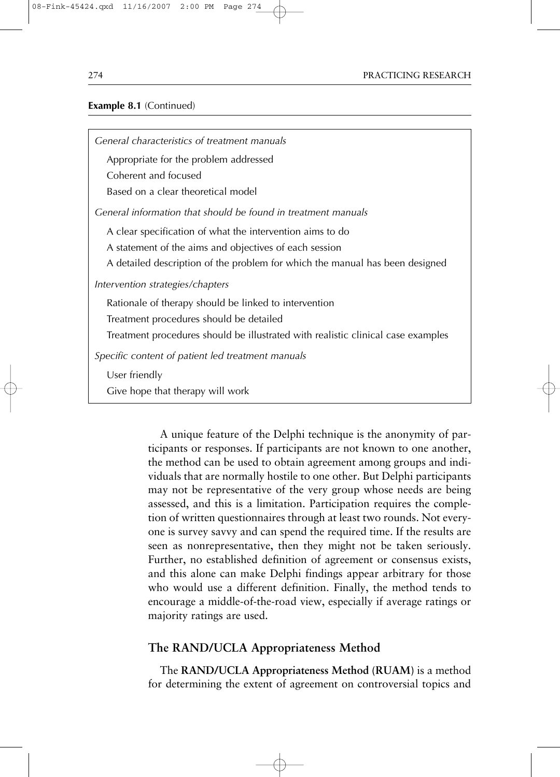#### **Example 8.1** (Continued)

| General characteristics of treatment manuals                                                                                                                                                        |
|-----------------------------------------------------------------------------------------------------------------------------------------------------------------------------------------------------|
| Appropriate for the problem addressed<br>Coherent and focused<br>Based on a clear theoretical model                                                                                                 |
| General information that should be found in treatment manuals                                                                                                                                       |
| A clear specification of what the intervention aims to do<br>A statement of the aims and objectives of each session<br>A detailed description of the problem for which the manual has been designed |
| Intervention strategies/chapters                                                                                                                                                                    |
| Rationale of therapy should be linked to intervention<br>Treatment procedures should be detailed<br>Treatment procedures should be illustrated with realistic clinical case examples                |
| Specific content of patient led treatment manuals                                                                                                                                                   |
| User friendly<br>Give hope that therapy will work                                                                                                                                                   |

A unique feature of the Delphi technique is the anonymity of participants or responses. If participants are not known to one another, the method can be used to obtain agreement among groups and individuals that are normally hostile to one other. But Delphi participants may not be representative of the very group whose needs are being assessed, and this is a limitation. Participation requires the completion of written questionnaires through at least two rounds. Not everyone is survey savvy and can spend the required time. If the results are seen as nonrepresentative, then they might not be taken seriously. Further, no established definition of agreement or consensus exists, and this alone can make Delphi findings appear arbitrary for those who would use a different definition. Finally, the method tends to encourage a middle-of-the-road view, especially if average ratings or majority ratings are used.

### **The RAND/UCLA Appropriateness Method**

The **RAND/UCLA Appropriateness Method (RUAM)** is a method for determining the extent of agreement on controversial topics and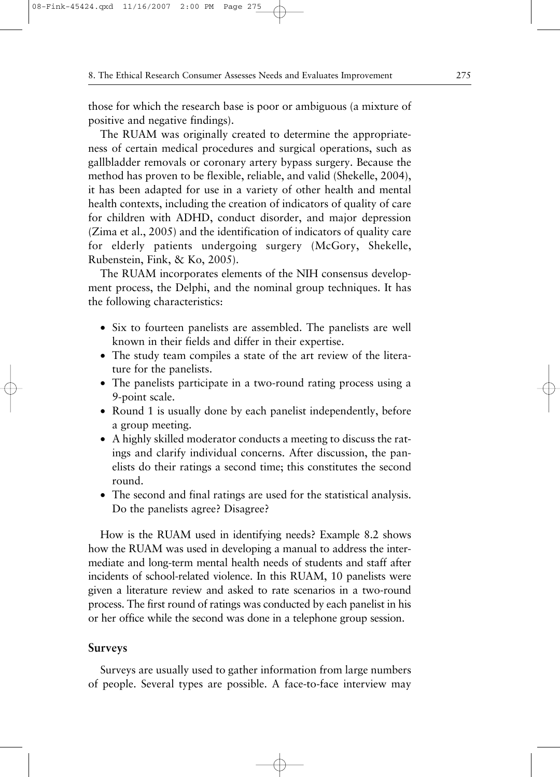those for which the research base is poor or ambiguous (a mixture of positive and negative findings).

The RUAM was originally created to determine the appropriateness of certain medical procedures and surgical operations, such as gallbladder removals or coronary artery bypass surgery. Because the method has proven to be flexible, reliable, and valid (Shekelle, 2004), it has been adapted for use in a variety of other health and mental health contexts, including the creation of indicators of quality of care for children with ADHD, conduct disorder, and major depression (Zima et al., 2005) and the identification of indicators of quality care for elderly patients undergoing surgery (McGory, Shekelle, Rubenstein, Fink, & Ko, 2005).

The RUAM incorporates elements of the NIH consensus development process, the Delphi, and the nominal group techniques. It has the following characteristics:

- Six to fourteen panelists are assembled. The panelists are well known in their fields and differ in their expertise.
- The study team compiles a state of the art review of the literature for the panelists.
- The panelists participate in a two-round rating process using a 9-point scale.
- Round 1 is usually done by each panelist independently, before a group meeting.
- A highly skilled moderator conducts a meeting to discuss the ratings and clarify individual concerns. After discussion, the panelists do their ratings a second time; this constitutes the second round.
- The second and final ratings are used for the statistical analysis. Do the panelists agree? Disagree?

How is the RUAM used in identifying needs? Example 8.2 shows how the RUAM was used in developing a manual to address the intermediate and long-term mental health needs of students and staff after incidents of school-related violence. In this RUAM, 10 panelists were given a literature review and asked to rate scenarios in a two-round process. The first round of ratings was conducted by each panelist in his or her office while the second was done in a telephone group session.

#### **Surveys**

Surveys are usually used to gather information from large numbers of people. Several types are possible. A face-to-face interview may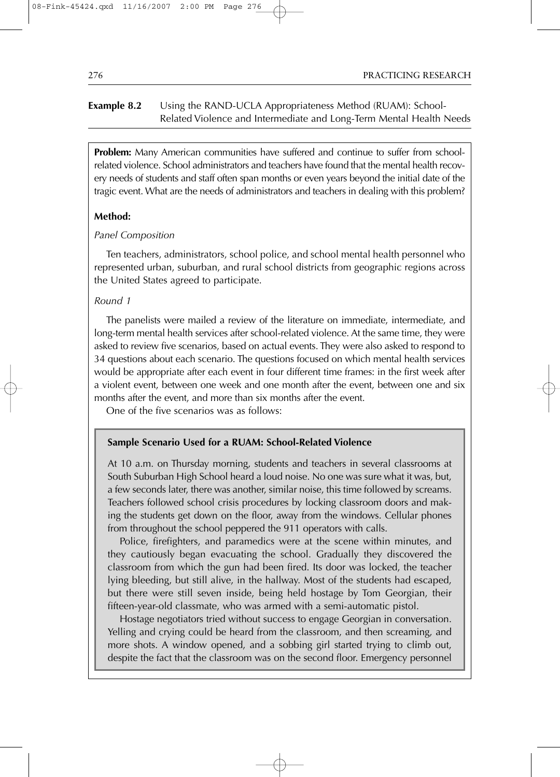#### **Example 8.2** Using the RAND-UCLA Appropriateness Method (RUAM): School-Related Violence and Intermediate and Long-Term Mental Health Needs

**Problem:** Many American communities have suffered and continue to suffer from schoolrelated violence. School administrators and teachers have found that the mental health recovery needs of students and staff often span months or even years beyond the initial date of the tragic event. What are the needs of administrators and teachers in dealing with this problem?

#### **Method:**

#### *Panel Composition*

Ten teachers, administrators, school police, and school mental health personnel who represented urban, suburban, and rural school districts from geographic regions across the United States agreed to participate.

#### *Round 1*

The panelists were mailed a review of the literature on immediate, intermediate, and long-term mental health services after school-related violence. At the same time, they were asked to review five scenarios, based on actual events. They were also asked to respond to 34 questions about each scenario. The questions focused on which mental health services would be appropriate after each event in four different time frames: in the first week after a violent event, between one week and one month after the event, between one and six months after the event, and more than six months after the event.

One of the five scenarios was as follows:

#### **Sample Scenario Used for a RUAM: School-Related Violence**

At 10 a.m. on Thursday morning, students and teachers in several classrooms at South Suburban High School heard a loud noise. No one was sure what it was, but, a few seconds later, there was another, similar noise, this time followed by screams. Teachers followed school crisis procedures by locking classroom doors and making the students get down on the floor, away from the windows. Cellular phones from throughout the school peppered the 911 operators with calls.

Police, firefighters, and paramedics were at the scene within minutes, and they cautiously began evacuating the school. Gradually they discovered the classroom from which the gun had been fired. Its door was locked, the teacher lying bleeding, but still alive, in the hallway. Most of the students had escaped, but there were still seven inside, being held hostage by Tom Georgian, their fifteen-year-old classmate, who was armed with a semi-automatic pistol.

Hostage negotiators tried without success to engage Georgian in conversation. Yelling and crying could be heard from the classroom, and then screaming, and more shots. A window opened, and a sobbing girl started trying to climb out, despite the fact that the classroom was on the second floor. Emergency personnel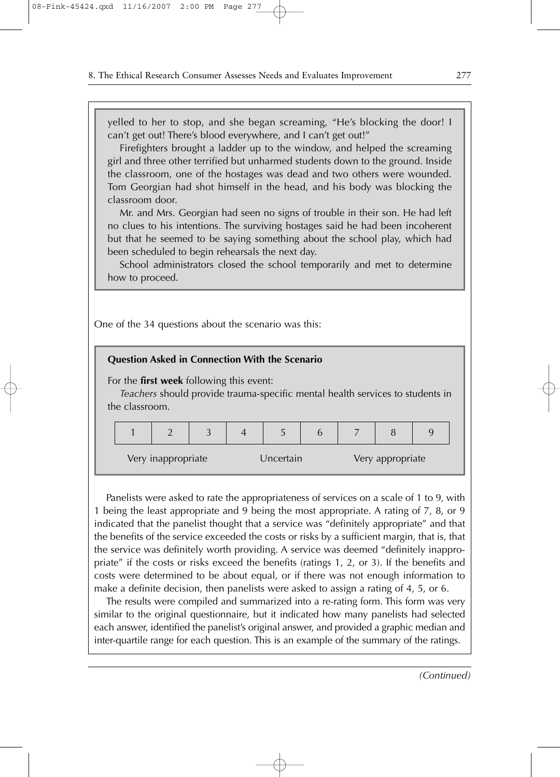yelled to her to stop, and she began screaming, "He's blocking the door! I can't get out! There's blood everywhere, and I can't get out!"

Firefighters brought a ladder up to the window, and helped the screaming girl and three other terrified but unharmed students down to the ground. Inside the classroom, one of the hostages was dead and two others were wounded. Tom Georgian had shot himself in the head, and his body was blocking the classroom door.

Mr. and Mrs. Georgian had seen no signs of trouble in their son. He had left no clues to his intentions. The surviving hostages said he had been incoherent but that he seemed to be saying something about the school play, which had been scheduled to begin rehearsals the next day.

School administrators closed the school temporarily and met to determine how to proceed.

One of the 34 questions about the scenario was this:

#### **Question Asked in Connection With the Scenario**

For the **first week** following this event:

*Teachers* should provide trauma-specific mental health services to students in the classroom.

|  | Very inappropriate |  | Uncertain |  | Very appropriate |  |
|--|--------------------|--|-----------|--|------------------|--|

Panelists were asked to rate the appropriateness of services on a scale of 1 to 9*,* with 1 being the least appropriate and 9 being the most appropriate. A rating of 7, 8, or 9 indicated that the panelist thought that a service was "definitely appropriate" and that the benefits of the service exceeded the costs or risks by a sufficient margin, that is, that the service was definitely worth providing. A service was deemed "definitely inappropriate" if the costs or risks exceed the benefits (ratings 1, 2, or 3). If the benefits and costs were determined to be about equal, or if there was not enough information to make a definite decision, then panelists were asked to assign a rating of 4, 5, or 6.

The results were compiled and summarized into a re-rating form. This form was very similar to the original questionnaire, but it indicated how many panelists had selected each answer, identified the panelist's original answer, and provided a graphic median and inter-quartile range for each question. This is an example of the summary of the ratings.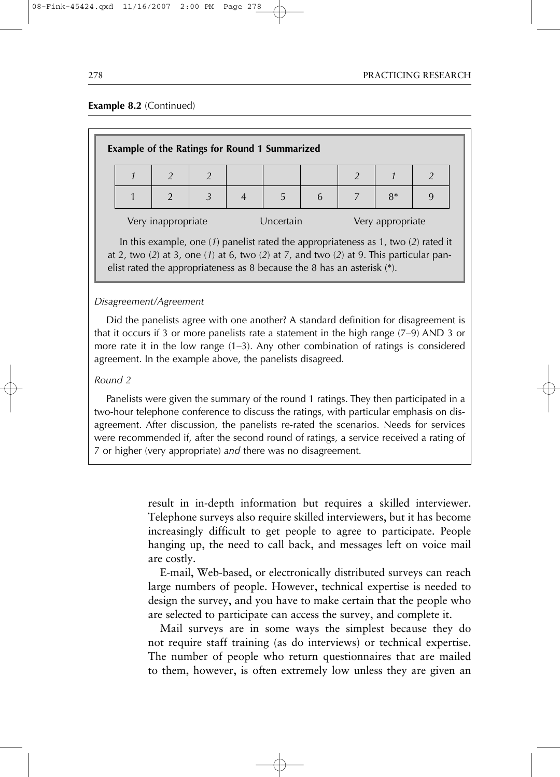#### **Example 8.2** (Continued)

|  |                                                                                           |  | <b>Example of the Ratings for Round 1 Summarized</b> |   |                  |  |
|--|-------------------------------------------------------------------------------------------|--|------------------------------------------------------|---|------------------|--|
|  | ำ                                                                                         |  |                                                      |   |                  |  |
|  |                                                                                           |  | 5                                                    | 6 | $8*$             |  |
|  | Very inappropriate                                                                        |  | Uncertain                                            |   | Very appropriate |  |
|  | In this example, one $(1)$ panelist rated the appropriateness as $1$ , two $(2)$ rated it |  |                                                      |   |                  |  |

at 2, two (*2*) at 3, one (*1*) at 6, two (*2*) at 7, and two (*2*) at 9. This particular panelist rated the appropriateness as 8 because the 8 has an asterisk (\*).

#### *Disagreement/Agreement*

Did the panelists agree with one another? A standard definition for disagreement is that it occurs if 3 or more panelists rate a statement in the high range  $(7-9)$  AND 3 or more rate it in the low range (1–3). Any other combination of ratings is considered agreement. In the example above, the panelists disagreed.

#### *Round 2*

Panelists were given the summary of the round 1 ratings. They then participated in a two-hour telephone conference to discuss the ratings, with particular emphasis on disagreement. After discussion, the panelists re-rated the scenarios. Needs for services were recommended if, after the second round of ratings, a service received a rating of 7 or higher (very appropriate) *and* there was no disagreement.

> result in in-depth information but requires a skilled interviewer. Telephone surveys also require skilled interviewers, but it has become increasingly difficult to get people to agree to participate. People hanging up, the need to call back, and messages left on voice mail are costly.

> E-mail, Web-based, or electronically distributed surveys can reach large numbers of people. However, technical expertise is needed to design the survey, and you have to make certain that the people who are selected to participate can access the survey, and complete it.

> Mail surveys are in some ways the simplest because they do not require staff training (as do interviews) or technical expertise. The number of people who return questionnaires that are mailed to them, however, is often extremely low unless they are given an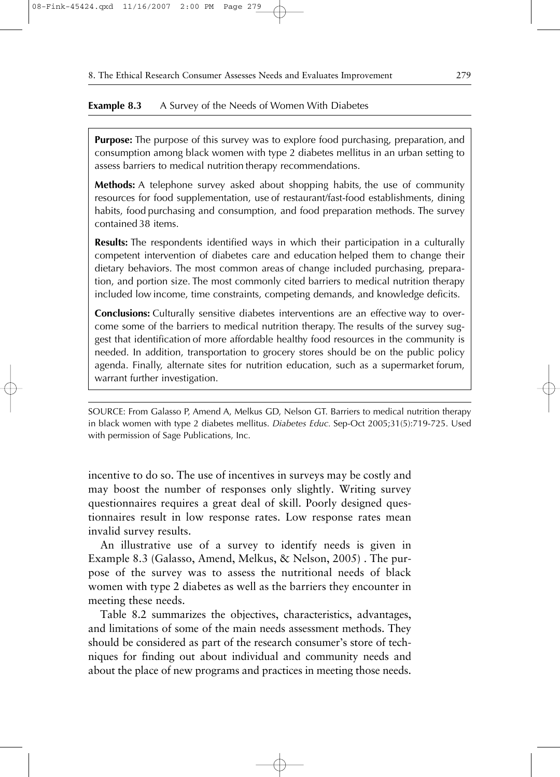#### **Example 8.3** A Survey of the Needs of Women With Diabetes

**Purpose:** The purpose of this survey was to explore food purchasing, preparation, and consumption among black women with type 2 diabetes mellitus in an urban setting to assess barriers to medical nutrition therapy recommendations.

**Methods:** A telephone survey asked about shopping habits, the use of community resources for food supplementation, use of restaurant/fast-food establishments, dining habits, food purchasing and consumption, and food preparation methods. The survey contained 38 items.

**Results:** The respondents identified ways in which their participation in a culturally competent intervention of diabetes care and education helped them to change their dietary behaviors. The most common areas of change included purchasing, preparation, and portion size. The most commonly cited barriers to medical nutrition therapy included low income, time constraints, competing demands, and knowledge deficits.

**Conclusions:** Culturally sensitive diabetes interventions are an effective way to overcome some of the barriers to medical nutrition therapy. The results of the survey suggest that identification of more affordable healthy food resources in the community is needed. In addition, transportation to grocery stores should be on the public policy agenda. Finally, alternate sites for nutrition education, such as a supermarket forum, warrant further investigation.

SOURCE: From Galasso P, Amend A, Melkus GD, Nelson GT. Barriers to medical nutrition therapy in black women with type 2 diabetes mellitus. *Diabetes Educ.* Sep-Oct 2005;31(5):719-725. Used with permission of Sage Publications, Inc.

incentive to do so. The use of incentives in surveys may be costly and may boost the number of responses only slightly. Writing survey questionnaires requires a great deal of skill. Poorly designed questionnaires result in low response rates. Low response rates mean invalid survey results.

An illustrative use of a survey to identify needs is given in Example 8.3 (Galasso, Amend, Melkus, & Nelson, 2005) . The purpose of the survey was to assess the nutritional needs of black women with type 2 diabetes as well as the barriers they encounter in meeting these needs.

Table 8.2 summarizes the objectives, characteristics, advantages, and limitations of some of the main needs assessment methods. They should be considered as part of the research consumer's store of techniques for finding out about individual and community needs and about the place of new programs and practices in meeting those needs.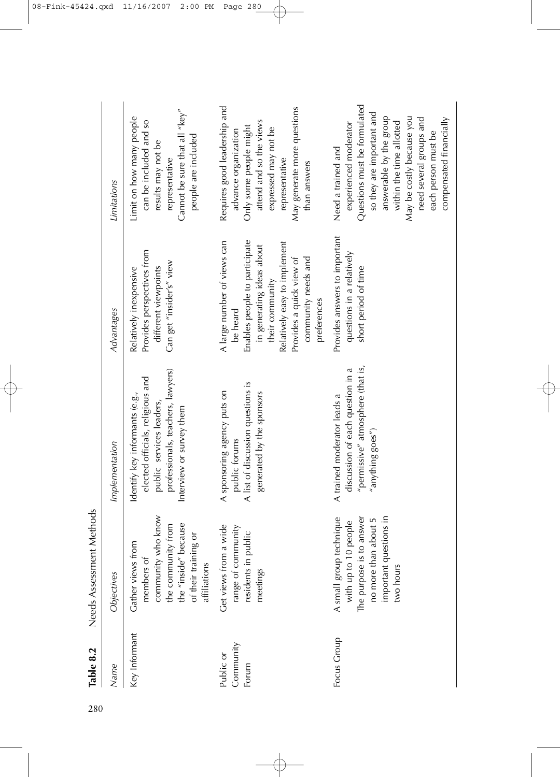| Table 8.2                       | Needs Assessment Methods                                                                                                                                                 |                                                                                                                                                                 |                                                                                                                                                                                                                            |                                                                                                                                                                                                                                                                           |
|---------------------------------|--------------------------------------------------------------------------------------------------------------------------------------------------------------------------|-----------------------------------------------------------------------------------------------------------------------------------------------------------------|----------------------------------------------------------------------------------------------------------------------------------------------------------------------------------------------------------------------------|---------------------------------------------------------------------------------------------------------------------------------------------------------------------------------------------------------------------------------------------------------------------------|
| Name                            | Objectives                                                                                                                                                               | Implementation                                                                                                                                                  | Advantages                                                                                                                                                                                                                 | Limitations                                                                                                                                                                                                                                                               |
| Key Informant                   | community who know<br>the "inside" because<br>the community from<br>$\overleftarrow{\mathrm{o}}$<br>Gather views from<br>of their training<br>members of<br>affiliations | professionals, teachers, lawyers)<br>elected officials, religious and<br>Identify key informants (e.g.,<br>public services leaders,<br>Interview or survey them | Provides perspectives from<br>Can get "insider's" view<br>different viewpoints<br>Relatively inexpensive                                                                                                                   | Cannot be sure that all "key"<br>Limit on how many people<br>can be included and so<br>people are included<br>results may not be<br>representative                                                                                                                        |
| Community<br>Public or<br>Forum | Get views from a wide<br>range of community<br>residents in public<br>meetings                                                                                           | A list of discussion questions is<br>A sponsoring agency puts on<br>generated by the sponsors<br>public forums                                                  | Enables people to participate<br>A large number of views can<br>Relatively easy to implement<br>in generating ideas about<br>community needs and<br>Provides a quick view of<br>their community<br>preferences<br>be heard | Requires good leadership and<br>May generate more questions<br>attend and so the views<br>Only some people might<br>expressed may not be<br>advance organization<br>representative<br>than answers                                                                        |
| Focus Group                     | important questions in<br>The purpose is to answer<br>A small group technique<br>no more than about 5<br>with up to 10 people<br>two hours                               | "permissive" atmosphere (that is,<br>discussion of each question in a<br>A trained moderator leads a<br>$"$ anything goes")                                     | Provides answers to important<br>questions in a relatively<br>short period of time                                                                                                                                         | Questions must be formulated<br>so they are important and<br>answerable by the group<br>May be costly because you<br>need several groups and<br>compensated financially<br>within the time allotted<br>experienced moderator<br>each person must be<br>Need a trained and |

 $\oplus$ 

280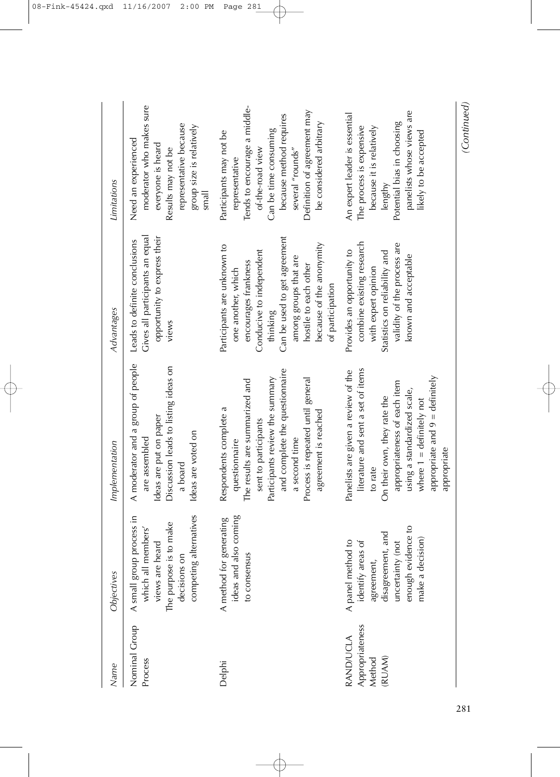| Name                                                    | Objectives                                                                                                                               | Implementation                                                                                                                                                                                                                                                             | Advantages                                                                                                                                                                                                                                          | Limitations                                                                                                                                                                                                                     |
|---------------------------------------------------------|------------------------------------------------------------------------------------------------------------------------------------------|----------------------------------------------------------------------------------------------------------------------------------------------------------------------------------------------------------------------------------------------------------------------------|-----------------------------------------------------------------------------------------------------------------------------------------------------------------------------------------------------------------------------------------------------|---------------------------------------------------------------------------------------------------------------------------------------------------------------------------------------------------------------------------------|
| Nominal Group<br>Process                                | competing alternatives<br>A small group process in<br>make<br>which all members'<br>views are heard<br>The purpose is to<br>decisions on | A moderator and a group of people<br>Discussion leads to listing ideas on<br>Ideas are put on paper<br>Ideas are voted on<br>are assembled<br>a board                                                                                                                      | Gives all participants an equal<br>opportunity to express their<br>Leads to definite conclusions<br>views                                                                                                                                           | moderator who makes sure<br>representative because<br>group size is relatively<br>Need an experienced<br>everyone is heard<br>Results may not be<br>$\sf small$                                                                 |
| Delphi                                                  | ideas and also coming<br>A method for generating<br>to consensus                                                                         | and complete the questionnaire<br>Participants review the summary<br>Process is repeated until general<br>The results are summarized and<br>Respondents complete a<br>agreement is reached<br>sent to participants<br>a second time<br>questionnaire                       | Can be used to get agreement<br>because of the anonymity<br>Participants are unknown to<br>Conducive to independent<br>among groups that are<br>encourages frankness<br>hostile to each other<br>one another, which<br>of participation<br>thinking | Tends to encourage a middle-<br>Definition of agreement may<br>because method requires<br>be considered arbitrary<br>Can be time consuming<br>Participants may not be<br>several "rounds"<br>of-the-road view<br>representative |
| Appropriateness<br><b>RAND/UCLA</b><br>(RUAM)<br>Method | enough evidence to<br>disagreement, and<br>make a decision)<br>A panel method to<br>identify areas of<br>uncertainty (not<br>agreement,  | literature and sent a set of items<br>Panelists are given a review of the<br>appropriate and $9 =$ definitely<br>appropriateness of each item<br>using a standardized scale,<br>On their own, they rate the<br>where $1 = \text{definitely not}$<br>appropriate<br>to rate | combine existing research<br>validity of the process are<br>Provides an opportunity to<br>Statistics on reliability and<br>known and acceptable<br>with expert opinion                                                                              | panelists whose views are<br>An expert leader is essential<br>Potential bias in choosing<br>The process is expensive<br>because it is relatively<br>likely to be accepted<br>lengthy                                            |
|                                                         |                                                                                                                                          |                                                                                                                                                                                                                                                                            |                                                                                                                                                                                                                                                     | (Continued)                                                                                                                                                                                                                     |

 $\oplus$ 

 $\overline{\varphi}$ 

08-Fink-45424.qxd 11/16/2007 2:00 PM Page 281

281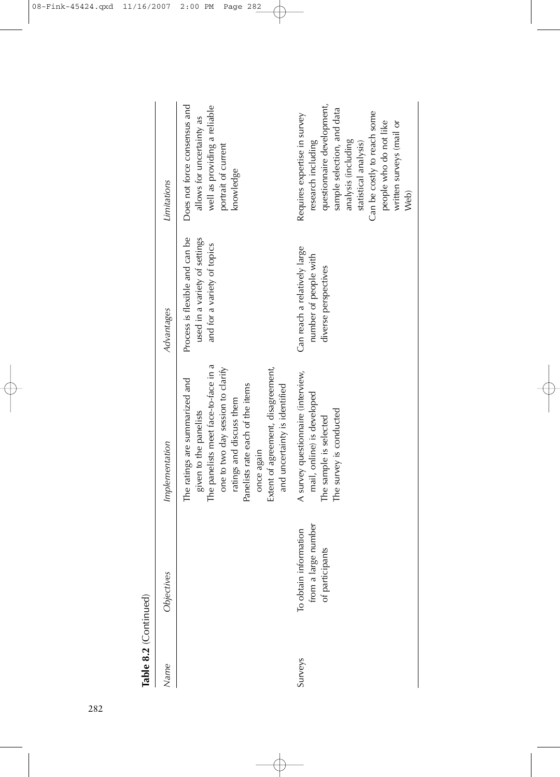| lable <b>o.</b> z (Continued) |                                                                 |                                                                                                                                                                                                                                                                                            |                                                                                                |                                                                                                                                                                                                                                                             |
|-------------------------------|-----------------------------------------------------------------|--------------------------------------------------------------------------------------------------------------------------------------------------------------------------------------------------------------------------------------------------------------------------------------------|------------------------------------------------------------------------------------------------|-------------------------------------------------------------------------------------------------------------------------------------------------------------------------------------------------------------------------------------------------------------|
| Name                          | Objectives                                                      | Implementation                                                                                                                                                                                                                                                                             | Advantages                                                                                     | Limitations                                                                                                                                                                                                                                                 |
|                               |                                                                 | The panelists meet face-to-face in a<br>one to two day session to clarify<br>Extent of agreement, disagreement,<br>The ratings are summarized and<br>Panelists rate each of the items<br>and uncertainty is identified<br>ratings and discuss them<br>given to the panelists<br>once again | Process is flexible and can be<br>used in a variety of settings<br>and for a variety of topics | Does not force consensus and<br>well as providing a reliable<br>allows for uncertainty as<br>portrait of current<br>knowledge                                                                                                                               |
| Surveys                       | from a large number<br>To obtain information<br>of participants | A survey questionnaire (interview,<br>mail, online) is developed<br>The survey is conducted<br>The sample is selected                                                                                                                                                                      | Can reach a relatively large<br>number of people with<br>diverse perspectives                  | questionnaire development,<br>sample selection, and data<br>Can be costly to reach some<br>Requires expertise in survey<br>written surveys (mail or<br>people who do not like<br>research including<br>analysis (including<br>statistical analysis)<br>Web) |

 $\oplus$ 

Table 8.2 (Continued) **Table 8.2** (Continued)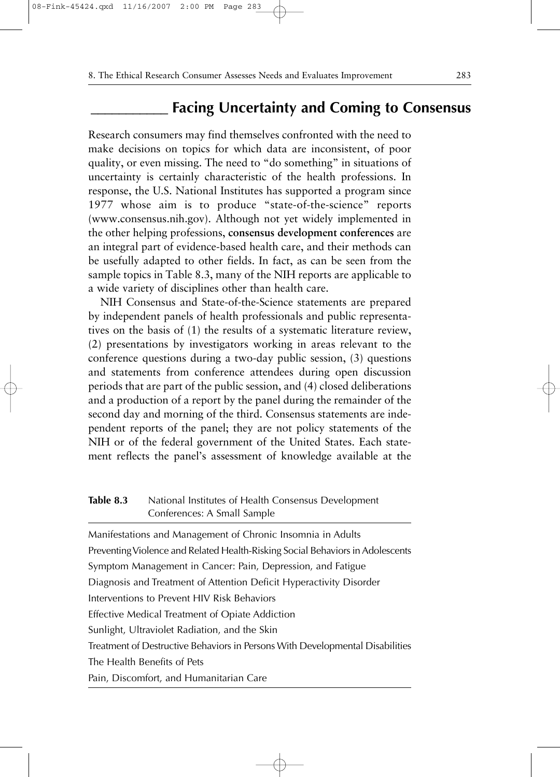## **\_\_\_\_\_\_\_\_\_\_\_ Facing Uncertainty and Coming to Consensus**

Research consumers may find themselves confronted with the need to make decisions on topics for which data are inconsistent, of poor quality, or even missing. The need to "do something" in situations of uncertainty is certainly characteristic of the health professions. In response, the U.S. National Institutes has supported a program since 1977 whose aim is to produce "state-of-the-science" reports (www.consensus.nih.gov). Although not yet widely implemented in the other helping professions, **consensus development conferences** are an integral part of evidence-based health care, and their methods can be usefully adapted to other fields. In fact, as can be seen from the sample topics in Table 8.3, many of the NIH reports are applicable to a wide variety of disciplines other than health care.

NIH Consensus and State-of-the-Science statements are prepared by independent panels of health professionals and public representatives on the basis of (1) the results of a systematic literature review, (2) presentations by investigators working in areas relevant to the conference questions during a two-day public session, (3) questions and statements from conference attendees during open discussion periods that are part of the public session, and (4) closed deliberations and a production of a report by the panel during the remainder of the second day and morning of the third. Consensus statements are independent reports of the panel; they are not policy statements of the NIH or of the federal government of the United States. Each statement reflects the panel's assessment of knowledge available at the

### **Table 8.3** National Institutes of Health Consensus Development Conferences: A Small Sample

Manifestations and Management of Chronic Insomnia in Adults Preventing Violence and Related Health-Risking Social Behaviors in Adolescents Symptom Management in Cancer: Pain, Depression, and Fatigue Diagnosis and Treatment of Attention Deficit Hyperactivity Disorder Interventions to Prevent HIV Risk Behaviors Effective Medical Treatment of Opiate Addiction Sunlight, Ultraviolet Radiation, and the Skin Treatment of Destructive Behaviors in Persons With Developmental Disabilities The Health Benefits of Pets Pain, Discomfort, and Humanitarian Care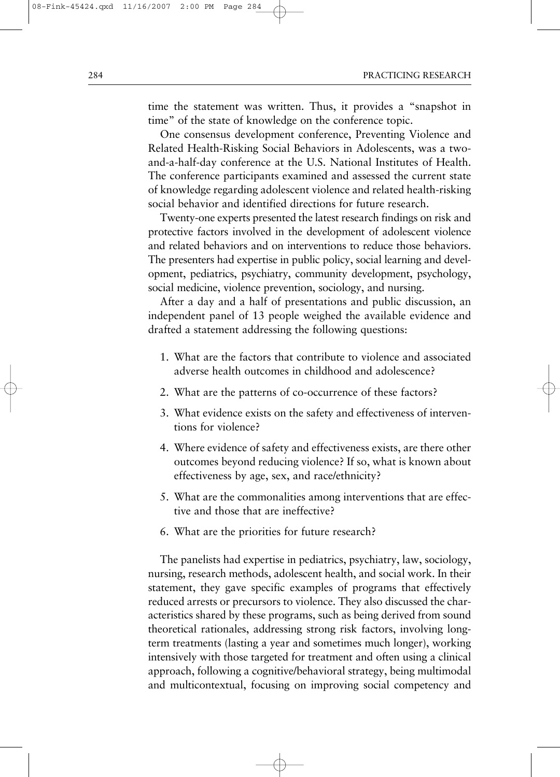time the statement was written. Thus, it provides a "snapshot in time" of the state of knowledge on the conference topic.

One consensus development conference, Preventing Violence and Related Health-Risking Social Behaviors in Adolescents, was a twoand-a-half-day conference at the U.S. National Institutes of Health. The conference participants examined and assessed the current state of knowledge regarding adolescent violence and related health-risking social behavior and identified directions for future research.

Twenty-one experts presented the latest research findings on risk and protective factors involved in the development of adolescent violence and related behaviors and on interventions to reduce those behaviors. The presenters had expertise in public policy, social learning and development, pediatrics, psychiatry, community development, psychology, social medicine, violence prevention, sociology, and nursing.

After a day and a half of presentations and public discussion, an independent panel of 13 people weighed the available evidence and drafted a statement addressing the following questions:

- 1. What are the factors that contribute to violence and associated adverse health outcomes in childhood and adolescence?
- 2. What are the patterns of co-occurrence of these factors?
- 3. What evidence exists on the safety and effectiveness of interventions for violence?
- 4. Where evidence of safety and effectiveness exists, are there other outcomes beyond reducing violence? If so, what is known about effectiveness by age, sex, and race/ethnicity?
- 5. What are the commonalities among interventions that are effective and those that are ineffective?
- 6. What are the priorities for future research?

The panelists had expertise in pediatrics, psychiatry, law, sociology, nursing, research methods, adolescent health, and social work. In their statement, they gave specific examples of programs that effectively reduced arrests or precursors to violence. They also discussed the characteristics shared by these programs, such as being derived from sound theoretical rationales, addressing strong risk factors, involving longterm treatments (lasting a year and sometimes much longer), working intensively with those targeted for treatment and often using a clinical approach, following a cognitive/behavioral strategy, being multimodal and multicontextual, focusing on improving social competency and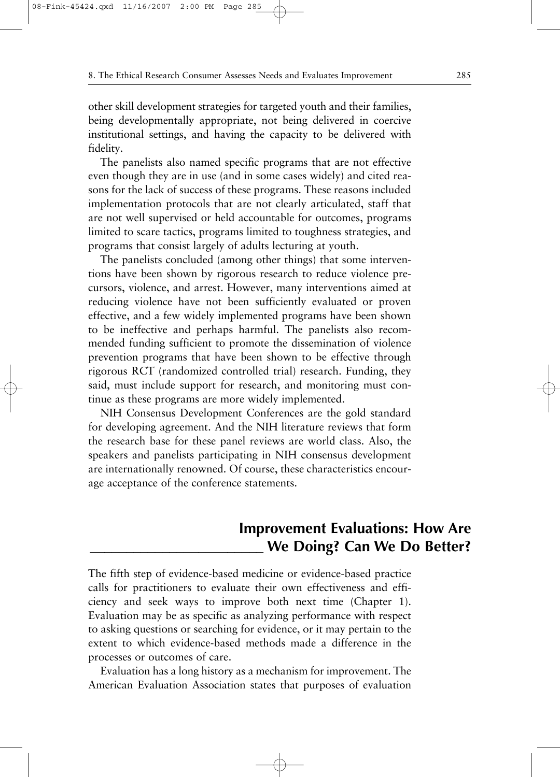other skill development strategies for targeted youth and their families, being developmentally appropriate, not being delivered in coercive institutional settings, and having the capacity to be delivered with fidelity.

The panelists also named specific programs that are not effective even though they are in use (and in some cases widely) and cited reasons for the lack of success of these programs. These reasons included implementation protocols that are not clearly articulated, staff that are not well supervised or held accountable for outcomes, programs limited to scare tactics, programs limited to toughness strategies, and programs that consist largely of adults lecturing at youth.

The panelists concluded (among other things) that some interventions have been shown by rigorous research to reduce violence precursors, violence, and arrest. However, many interventions aimed at reducing violence have not been sufficiently evaluated or proven effective, and a few widely implemented programs have been shown to be ineffective and perhaps harmful. The panelists also recommended funding sufficient to promote the dissemination of violence prevention programs that have been shown to be effective through rigorous RCT (randomized controlled trial) research. Funding, they said, must include support for research, and monitoring must continue as these programs are more widely implemented.

NIH Consensus Development Conferences are the gold standard for developing agreement. And the NIH literature reviews that form the research base for these panel reviews are world class. Also, the speakers and panelists participating in NIH consensus development are internationally renowned. Of course, these characteristics encourage acceptance of the conference statements.

## **Improvement Evaluations: How Are \_\_\_\_\_\_\_\_\_\_\_\_\_\_\_\_\_\_\_\_\_\_\_\_ We Doing? Can We Do Better?**

The fifth step of evidence-based medicine or evidence-based practice calls for practitioners to evaluate their own effectiveness and efficiency and seek ways to improve both next time (Chapter 1). Evaluation may be as specific as analyzing performance with respect to asking questions or searching for evidence, or it may pertain to the extent to which evidence-based methods made a difference in the processes or outcomes of care.

Evaluation has a long history as a mechanism for improvement. The American Evaluation Association states that purposes of evaluation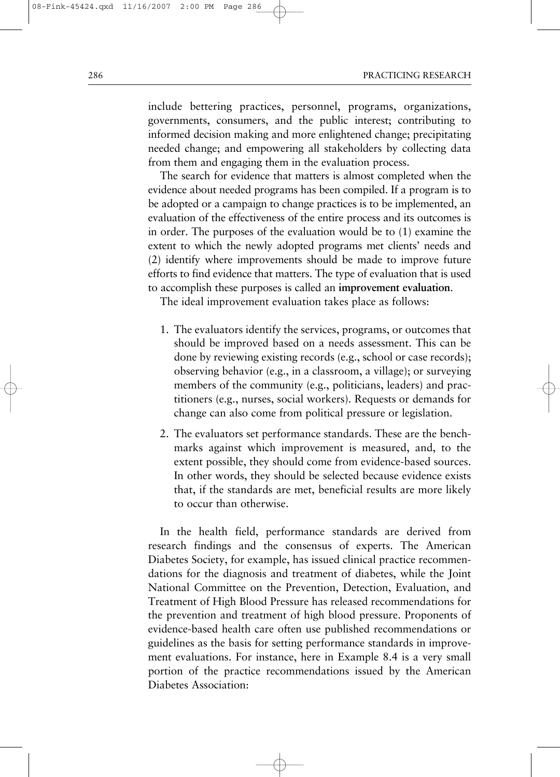include bettering practices, personnel, programs, organizations, governments, consumers, and the public interest; contributing to informed decision making and more enlightened change; precipitating needed change; and empowering all stakeholders by collecting data from them and engaging them in the evaluation process.

The search for evidence that matters is almost completed when the evidence about needed programs has been compiled. If a program is to be adopted or a campaign to change practices is to be implemented, an evaluation of the effectiveness of the entire process and its outcomes is in order. The purposes of the evaluation would be to (1) examine the extent to which the newly adopted programs met clients' needs and (2) identify where improvements should be made to improve future efforts to find evidence that matters. The type of evaluation that is used to accomplish these purposes is called an **improvement evaluation**.

The ideal improvement evaluation takes place as follows:

- 1. The evaluators identify the services, programs, or outcomes that should be improved based on a needs assessment. This can be done by reviewing existing records (e.g., school or case records); observing behavior (e.g., in a classroom, a village); or surveying members of the community (e.g., politicians, leaders) and practitioners (e.g., nurses, social workers). Requests or demands for change can also come from political pressure or legislation.
- 2. The evaluators set performance standards. These are the benchmarks against which improvement is measured, and, to the extent possible, they should come from evidence-based sources. In other words, they should be selected because evidence exists that, if the standards are met, beneficial results are more likely to occur than otherwise.

In the health field, performance standards are derived from research findings and the consensus of experts. The American Diabetes Society, for example, has issued clinical practice recommendations for the diagnosis and treatment of diabetes, while the Joint National Committee on the Prevention, Detection, Evaluation, and Treatment of High Blood Pressure has released recommendations for the prevention and treatment of high blood pressure. Proponents of evidence-based health care often use published recommendations or guidelines as the basis for setting performance standards in improvement evaluations. For instance, here in Example 8.4 is a very small portion of the practice recommendations issued by the American Diabetes Association: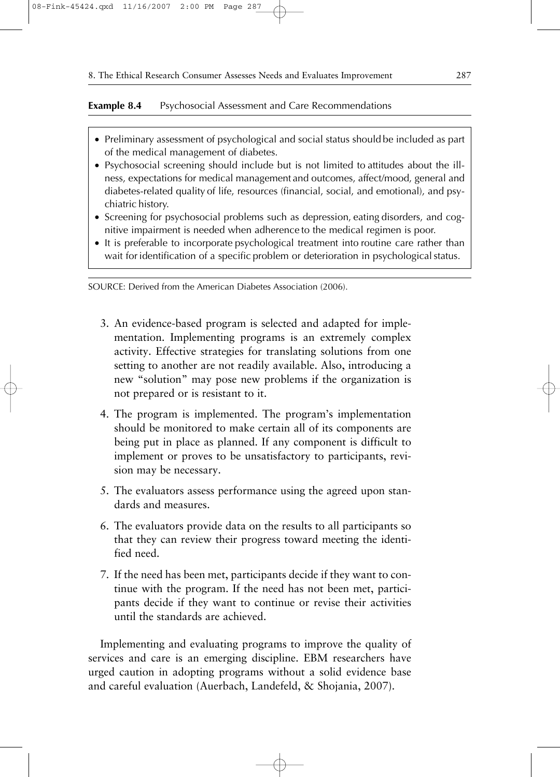

#### **Example 8.4** Psychosocial Assessment and Care Recommendations

- Preliminary assessment of psychological and social status should be included as part of the medical management of diabetes.
- Psychosocial screening should include but is not limited to attitudes about the illness, expectations for medical management and outcomes, affect/mood, general and diabetes-related quality of life, resources (financial, social, and emotional), and psychiatric history.
- Screening for psychosocial problems such as depression, eating disorders, and cognitive impairment is needed when adherence to the medical regimen is poor.
- It is preferable to incorporate psychological treatment into routine care rather than wait for identification of a specific problem or deterioration in psychological status.

SOURCE: Derived from the American Diabetes Association (2006).

- 3. An evidence-based program is selected and adapted for implementation. Implementing programs is an extremely complex activity. Effective strategies for translating solutions from one setting to another are not readily available. Also, introducing a new "solution" may pose new problems if the organization is not prepared or is resistant to it.
- 4. The program is implemented. The program's implementation should be monitored to make certain all of its components are being put in place as planned. If any component is difficult to implement or proves to be unsatisfactory to participants, revision may be necessary.
- 5. The evaluators assess performance using the agreed upon standards and measures.
- 6. The evaluators provide data on the results to all participants so that they can review their progress toward meeting the identified need.
- 7. If the need has been met, participants decide if they want to continue with the program. If the need has not been met, participants decide if they want to continue or revise their activities until the standards are achieved.

Implementing and evaluating programs to improve the quality of services and care is an emerging discipline. EBM researchers have urged caution in adopting programs without a solid evidence base and careful evaluation (Auerbach, Landefeld, & Shojania, 2007).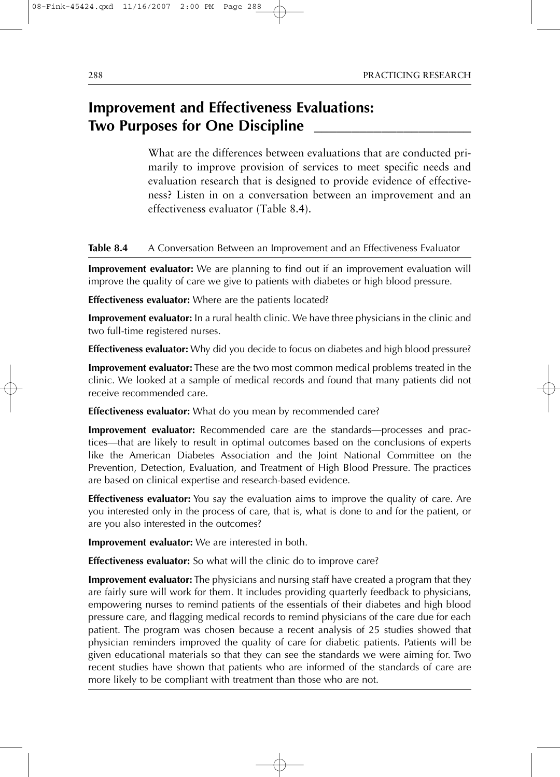## **Improvement and Effectiveness Evaluations: Two Purposes for One Discipline**

What are the differences between evaluations that are conducted primarily to improve provision of services to meet specific needs and evaluation research that is designed to provide evidence of effectiveness? Listen in on a conversation between an improvement and an effectiveness evaluator (Table 8.4).

#### **Table 8.4** A Conversation Between an Improvement and an Effectiveness Evaluator

**Improvement evaluator:** We are planning to find out if an improvement evaluation will improve the quality of care we give to patients with diabetes or high blood pressure.

**Effectiveness evaluator:** Where are the patients located?

**Improvement evaluator:** In a rural health clinic. We have three physicians in the clinic and two full-time registered nurses.

**Effectiveness evaluator:** Why did you decide to focus on diabetes and high blood pressure?

**Improvement evaluator:** These are the two most common medical problems treated in the clinic. We looked at a sample of medical records and found that many patients did not receive recommended care.

**Effectiveness evaluator:** What do you mean by recommended care?

**Improvement evaluator:** Recommended care are the standards—processes and practices—that are likely to result in optimal outcomes based on the conclusions of experts like the American Diabetes Association and the Joint National Committee on the Prevention, Detection, Evaluation, and Treatment of High Blood Pressure. The practices are based on clinical expertise and research-based evidence.

**Effectiveness evaluator:** You say the evaluation aims to improve the quality of care. Are you interested only in the process of care, that is, what is done to and for the patient, or are you also interested in the outcomes?

**Improvement evaluator:** We are interested in both.

**Effectiveness evaluator:** So what will the clinic do to improve care?

**Improvement evaluator:** The physicians and nursing staff have created a program that they are fairly sure will work for them. It includes providing quarterly feedback to physicians, empowering nurses to remind patients of the essentials of their diabetes and high blood pressure care, and flagging medical records to remind physicians of the care due for each patient. The program was chosen because a recent analysis of 25 studies showed that physician reminders improved the quality of care for diabetic patients. Patients will be given educational materials so that they can see the standards we were aiming for. Two recent studies have shown that patients who are informed of the standards of care are more likely to be compliant with treatment than those who are not.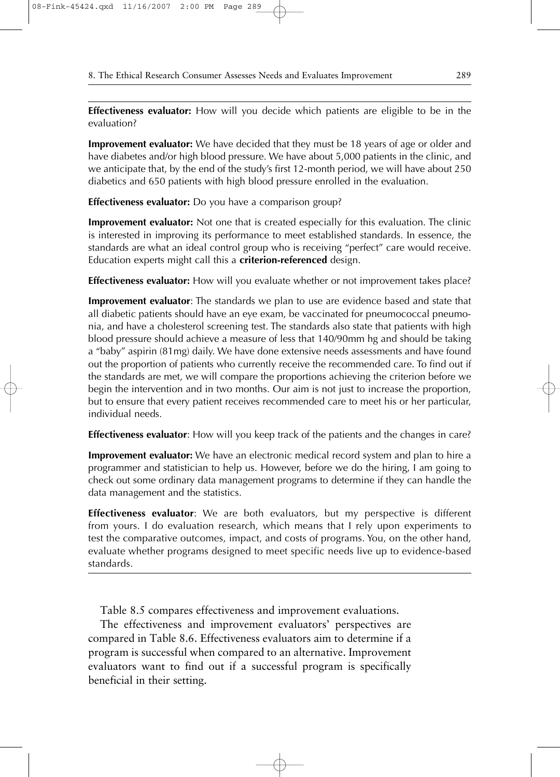**Effectiveness evaluator:** How will you decide which patients are eligible to be in the evaluation?

**Improvement evaluator:** We have decided that they must be 18 years of age or older and have diabetes and/or high blood pressure. We have about 5,000 patients in the clinic, and we anticipate that, by the end of the study's first 12-month period, we will have about 250 diabetics and 650 patients with high blood pressure enrolled in the evaluation.

**Effectiveness evaluator:** Do you have a comparison group?

**Improvement evaluator:** Not one that is created especially for this evaluation. The clinic is interested in improving its performance to meet established standards. In essence, the standards are what an ideal control group who is receiving "perfect" care would receive. Education experts might call this a **criterion-referenced** design.

**Effectiveness evaluator:** How will you evaluate whether or not improvement takes place?

**Improvement evaluator**: The standards we plan to use are evidence based and state that all diabetic patients should have an eye exam, be vaccinated for pneumococcal pneumonia, and have a cholesterol screening test. The standards also state that patients with high blood pressure should achieve a measure of less that 140/90mm hg and should be taking a "baby" aspirin (81mg) daily. We have done extensive needs assessments and have found out the proportion of patients who currently receive the recommended care. To find out if the standards are met, we will compare the proportions achieving the criterion before we begin the intervention and in two months. Our aim is not just to increase the proportion, but to ensure that every patient receives recommended care to meet his or her particular, individual needs.

**Effectiveness evaluator**: How will you keep track of the patients and the changes in care?

**Improvement evaluator:** We have an electronic medical record system and plan to hire a programmer and statistician to help us. However, before we do the hiring, I am going to check out some ordinary data management programs to determine if they can handle the data management and the statistics.

**Effectiveness evaluator**: We are both evaluators, but my perspective is different from yours. I do evaluation research, which means that I rely upon experiments to test the comparative outcomes, impact, and costs of programs. You, on the other hand, evaluate whether programs designed to meet specific needs live up to evidence-based standards.

Table 8.5 compares effectiveness and improvement evaluations.

The effectiveness and improvement evaluators' perspectives are compared in Table 8.6. Effectiveness evaluators aim to determine if a program is successful when compared to an alternative. Improvement evaluators want to find out if a successful program is specifically beneficial in their setting.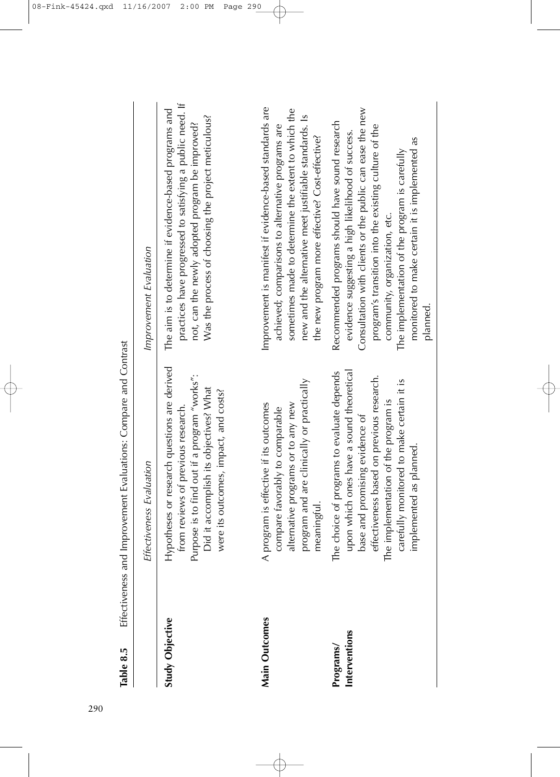|                            | Effectiveness Evaluation                                                                                                                                                                                                                                                                              | Improvement Evaluation                                                                                                                                                                                                                                                                                                                                                     |
|----------------------------|-------------------------------------------------------------------------------------------------------------------------------------------------------------------------------------------------------------------------------------------------------------------------------------------------------|----------------------------------------------------------------------------------------------------------------------------------------------------------------------------------------------------------------------------------------------------------------------------------------------------------------------------------------------------------------------------|
| Study Objective            | Hypotheses or research questions are derived<br>from reviews of previous research.<br>Purpose is to find out if a program "works":<br>Did it accomplish its objectives? What<br>were its outcomes, impact, and costs?                                                                                 | practices have progressed to satisfying a public need. If<br>The aim is to determine if evidence-based programs and<br>Was the process of choosing the project meticulous?<br>not, can the newly adopted program be improved?                                                                                                                                              |
| Main Outcomes              | program and are clinically or practically<br>alternative programs or to any new<br>A program is effective if its outcomes<br>compare favorably to comparable<br>meaningtul.                                                                                                                           | Improvement is manifest if evidence-based standards are<br>sometimes made to determine the extent to which the<br>new and the alternative meet justifiable standards. Is<br>achieved; comparisons to alternative programs are<br>the new program more effective? Cost-effective?                                                                                           |
| Interventions<br>Programs/ | upon which ones have a sound theoretical<br>base and promising evidence of<br>choice of programs to evaluate depends<br>effectiveness based on previous research.<br>carefully monitored to make certain it is<br>The implementation of the program is<br>implemented as planned.<br>The <sup>1</sup> | Consultation with clients or the public can ease the new<br>Recommended programs should have sound research<br>program's transition into the existing culture of the<br>evidence suggesting a high likelihood of success.<br>monitored to make certain it is implemented as<br>The implementation of the program is carefully<br>community, organization, etc.<br>planned. |

 $\bigoplus$ 

Effectiveness and Improvement Evaluations: Compare and Contrast **Table 8.5** Effectiveness and Improvement Evaluations: Compare and Contrast Table 8.5

 $\oplus$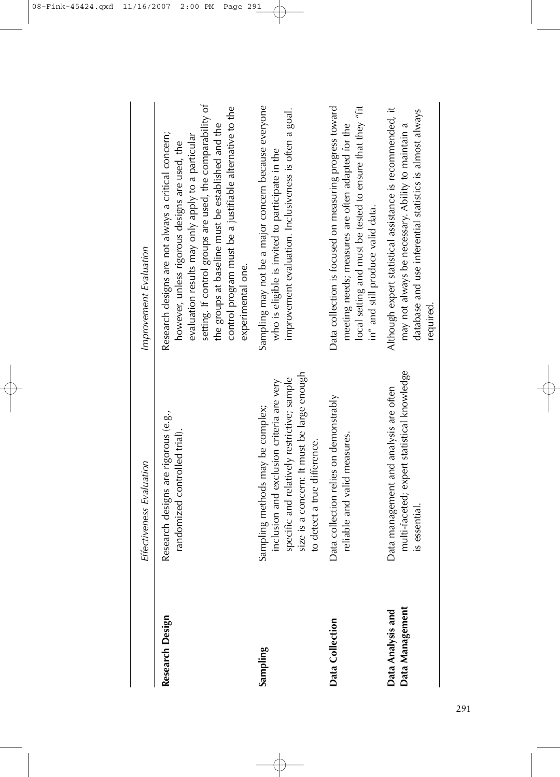| nk-45424.qxd 11/16/2007 2:00 PM Page 291 |  |  |
|------------------------------------------|--|--|
|                                          |  |  |

 $|08 - \text{Fink-45424.qxd} 11/16/2007 2:00 \text{ PM} \text{ Page } 291$ 

|                                      | Effectiveness Evaluation                                                                                                                                                                                        | Improvement Evaluation                                                                                                                                                                                                                                                                                                                                         |
|--------------------------------------|-----------------------------------------------------------------------------------------------------------------------------------------------------------------------------------------------------------------|----------------------------------------------------------------------------------------------------------------------------------------------------------------------------------------------------------------------------------------------------------------------------------------------------------------------------------------------------------------|
| Research Design                      | Research designs are rigorous (e.g.,<br>randomized controlled trial).                                                                                                                                           | setting. If control groups are used, the comparability of<br>control program must be a justifiable alternative to the<br>the groups at baseline must be established and the<br>Research designs are not always a critical concern;<br>evaluation results may only apply to a particular<br>however, unless rigorous designs are used, the<br>experimental one. |
| Sampling                             | size is a concern: It must be large enough<br>specific and relatively restrictive; sample<br>inclusion and exclusion criteria are very<br>npling methods may be complex;<br>to detect a true difference.<br>San | Sampling may not be a major concern because everyone<br>improvement evaluation. Inclusiveness is often a goal.<br>who is eligible is invited to participate in the                                                                                                                                                                                             |
| Data Collection                      | Data collection relies on demonstrably<br>eliable and valid measures.                                                                                                                                           | Data collection is focused on measuring progress toward<br>local setting and must be tested to ensure that they "fit<br>meeting needs; measures are often adapted for the<br>in" and still produce valid data.                                                                                                                                                 |
| Data Management<br>Data Analysis and | multi-faceted; expert statistical knowledge<br>Data management and analysis are often<br>is essential.                                                                                                          | Although expert statistical assistance is recommended, it<br>database and use inferential statistics is almost always<br>may not always be necessary. Ability to maintain a<br>required.                                                                                                                                                                       |

 $\oplus$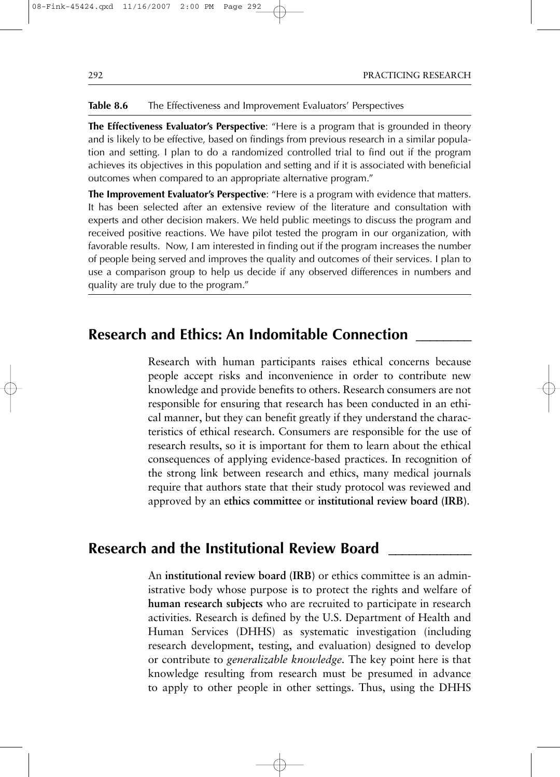#### **Table 8.6** The Effectiveness and Improvement Evaluators' Perspectives

**The Effectiveness Evaluator's Perspective**: "Here is a program that is grounded in theory and is likely to be effective, based on findings from previous research in a similar population and setting. I plan to do a randomized controlled trial to find out if the program achieves its objectives in this population and setting and if it is associated with beneficial outcomes when compared to an appropriate alternative program."

**The Improvement Evaluator's Perspective**: "Here is a program with evidence that matters. It has been selected after an extensive review of the literature and consultation with experts and other decision makers. We held public meetings to discuss the program and received positive reactions. We have pilot tested the program in our organization, with favorable results. Now, I am interested in finding out if the program increases the number of people being served and improves the quality and outcomes of their services. I plan to use a comparison group to help us decide if any observed differences in numbers and quality are truly due to the program."

## **Research and Ethics: An Indomitable Connection \_\_\_\_\_\_\_\_**

Research with human participants raises ethical concerns because people accept risks and inconvenience in order to contribute new knowledge and provide benefits to others. Research consumers are not responsible for ensuring that research has been conducted in an ethical manner, but they can benefit greatly if they understand the characteristics of ethical research. Consumers are responsible for the use of research results, so it is important for them to learn about the ethical consequences of applying evidence-based practices. In recognition of the strong link between research and ethics, many medical journals require that authors state that their study protocol was reviewed and approved by an **ethics committee** or **institutional review board (IRB)**.

## **Research and the Institutional Review Board \_\_\_\_\_\_\_\_\_\_\_\_**

An **institutional review board (IRB)** or ethics committee is an administrative body whose purpose is to protect the rights and welfare of **human research subjects** who are recruited to participate in research activities*.* Research is defined by the U.S. Department of Health and Human Services (DHHS) as systematic investigation (including research development, testing, and evaluation) designed to develop or contribute to *generalizable knowledge.* The key point here is that knowledge resulting from research must be presumed in advance to apply to other people in other settings. Thus, using the DHHS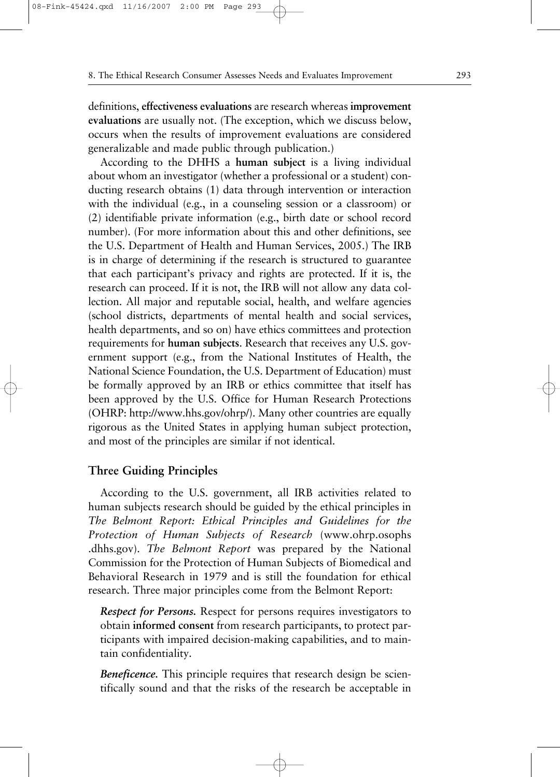definitions, **effectiveness evaluations** are research whereas **improvement evaluations** are usually not. (The exception, which we discuss below, occurs when the results of improvement evaluations are considered generalizable and made public through publication.)

According to the DHHS a **human subject** is a living individual about whom an investigator (whether a professional or a student) conducting research obtains (1) data through intervention or interaction with the individual (e.g., in a counseling session or a classroom) or (2) identifiable private information (e.g., birth date or school record number). (For more information about this and other definitions, see the U.S. Department of Health and Human Services, 2005.) The IRB is in charge of determining if the research is structured to guarantee that each participant's privacy and rights are protected. If it is, the research can proceed. If it is not, the IRB will not allow any data collection. All major and reputable social, health, and welfare agencies (school districts, departments of mental health and social services, health departments, and so on) have ethics committees and protection requirements for **human subjects**. Research that receives any U.S. government support (e.g., from the National Institutes of Health, the National Science Foundation, the U.S. Department of Education) must be formally approved by an IRB or ethics committee that itself has been approved by the U.S. Office for Human Research Protections (OHRP: http://www.hhs.gov/ohrp/). Many other countries are equally rigorous as the United States in applying human subject protection, and most of the principles are similar if not identical.

#### **Three Guiding Principles**

According to the U.S. government, all IRB activities related to human subjects research should be guided by the ethical principles in *The Belmont Report: Ethical Principles and Guidelines for the Protection of Human Subjects of Research* (www.ohrp.osophs .dhhs.gov). *The Belmont Report* was prepared by the National Commission for the Protection of Human Subjects of Biomedical and Behavioral Research in 1979 and is still the foundation for ethical research. Three major principles come from the Belmont Report:

*Respect for Persons.* Respect for persons requires investigators to obtain **informed consent** from research participants, to protect participants with impaired decision-making capabilities, and to maintain confidentiality.

*Beneficence.* This principle requires that research design be scientifically sound and that the risks of the research be acceptable in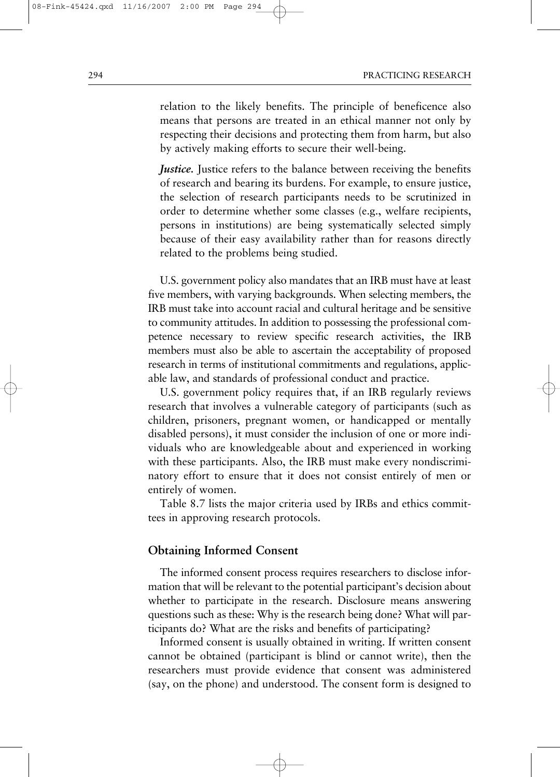relation to the likely benefits. The principle of beneficence also means that persons are treated in an ethical manner not only by respecting their decisions and protecting them from harm, but also by actively making efforts to secure their well-being.

*Justice*. Justice refers to the balance between receiving the benefits of research and bearing its burdens. For example, to ensure justice, the selection of research participants needs to be scrutinized in order to determine whether some classes (e.g., welfare recipients, persons in institutions) are being systematically selected simply because of their easy availability rather than for reasons directly related to the problems being studied.

U.S. government policy also mandates that an IRB must have at least five members, with varying backgrounds. When selecting members, the IRB must take into account racial and cultural heritage and be sensitive to community attitudes. In addition to possessing the professional competence necessary to review specific research activities, the IRB members must also be able to ascertain the acceptability of proposed research in terms of institutional commitments and regulations, applicable law, and standards of professional conduct and practice.

U.S. government policy requires that, if an IRB regularly reviews research that involves a vulnerable category of participants (such as children, prisoners, pregnant women, or handicapped or mentally disabled persons), it must consider the inclusion of one or more individuals who are knowledgeable about and experienced in working with these participants. Also, the IRB must make every nondiscriminatory effort to ensure that it does not consist entirely of men or entirely of women.

Table 8.7 lists the major criteria used by IRBs and ethics committees in approving research protocols.

#### **Obtaining Informed Consent**

The informed consent process requires researchers to disclose information that will be relevant to the potential participant's decision about whether to participate in the research. Disclosure means answering questions such as these: Why is the research being done? What will participants do? What are the risks and benefits of participating?

Informed consent is usually obtained in writing. If written consent cannot be obtained (participant is blind or cannot write), then the researchers must provide evidence that consent was administered (say, on the phone) and understood. The consent form is designed to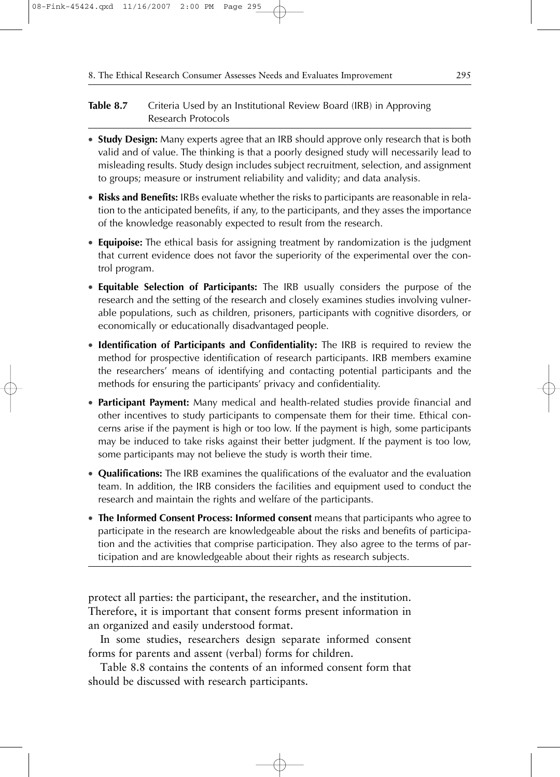#### **Table 8.7** Criteria Used by an Institutional Review Board (IRB) in Approving Research Protocols

- **Study Design:** Many experts agree that an IRB should approve only research that is both valid and of value. The thinking is that a poorly designed study will necessarily lead to misleading results. Study design includes subject recruitment, selection, and assignment to groups; measure or instrument reliability and validity; and data analysis.
- **Risks and Benefits:** IRBs evaluate whether the risks to participants are reasonable in relation to the anticipated benefits, if any, to the participants, and they asses the importance of the knowledge reasonably expected to result from the research.
- **Equipoise:** The ethical basis for assigning treatment by randomization is the judgment that current evidence does not favor the superiority of the experimental over the control program.
- **Equitable Selection of Participants:** The IRB usually considers the purpose of the research and the setting of the research and closely examines studies involving vulnerable populations, such as children, prisoners, participants with cognitive disorders, or economically or educationally disadvantaged people.
- **Identification of Participants and Confidentiality:** The IRB is required to review the method for prospective identification of research participants. IRB members examine the researchers' means of identifying and contacting potential participants and the methods for ensuring the participants' privacy and confidentiality.
- **Participant Payment:** Many medical and health-related studies provide financial and other incentives to study participants to compensate them for their time. Ethical concerns arise if the payment is high or too low. If the payment is high, some participants may be induced to take risks against their better judgment. If the payment is too low, some participants may not believe the study is worth their time.
- **Qualifications:** The IRB examines the qualifications of the evaluator and the evaluation team. In addition, the IRB considers the facilities and equipment used to conduct the research and maintain the rights and welfare of the participants.
- **The Informed Consent Process: Informed consent** means that participants who agree to participate in the research are knowledgeable about the risks and benefits of participation and the activities that comprise participation. They also agree to the terms of participation and are knowledgeable about their rights as research subjects.

protect all parties: the participant, the researcher, and the institution. Therefore, it is important that consent forms present information in an organized and easily understood format.

In some studies, researchers design separate informed consent forms for parents and assent (verbal) forms for children.

Table 8.8 contains the contents of an informed consent form that should be discussed with research participants.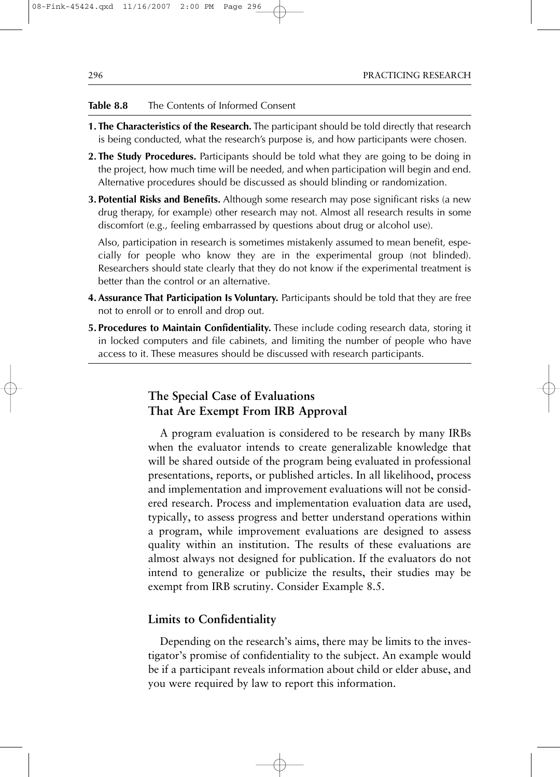#### **Table 8.8** The Contents of Informed Consent

- **1. The Characteristics of the Research.** The participant should be told directly that research is being conducted, what the research's purpose is, and how participants were chosen.
- **2. The Study Procedures.** Participants should be told what they are going to be doing in the project, how much time will be needed, and when participation will begin and end. Alternative procedures should be discussed as should blinding or randomization.
- **3. Potential Risks and Benefits.** Although some research may pose significant risks (a new drug therapy, for example) other research may not. Almost all research results in some discomfort (e.g., feeling embarrassed by questions about drug or alcohol use).

Also, participation in research is sometimes mistakenly assumed to mean benefit, especially for people who know they are in the experimental group (not blinded). Researchers should state clearly that they do not know if the experimental treatment is better than the control or an alternative.

- **4. Assurance That Participation Is Voluntary.** Participants should be told that they are free not to enroll or to enroll and drop out.
- **5. Procedures to Maintain Confidentiality.** These include coding research data, storing it in locked computers and file cabinets, and limiting the number of people who have access to it. These measures should be discussed with research participants.

## **The Special Case of Evaluations That Are Exempt From IRB Approval**

A program evaluation is considered to be research by many IRBs when the evaluator intends to create generalizable knowledge that will be shared outside of the program being evaluated in professional presentations, reports, or published articles. In all likelihood, process and implementation and improvement evaluations will not be considered research. Process and implementation evaluation data are used, typically, to assess progress and better understand operations within a program, while improvement evaluations are designed to assess quality within an institution. The results of these evaluations are almost always not designed for publication. If the evaluators do not intend to generalize or publicize the results, their studies may be exempt from IRB scrutiny. Consider Example 8.5.

#### **Limits to Confidentiality**

Depending on the research's aims, there may be limits to the investigator's promise of confidentiality to the subject. An example would be if a participant reveals information about child or elder abuse, and you were required by law to report this information.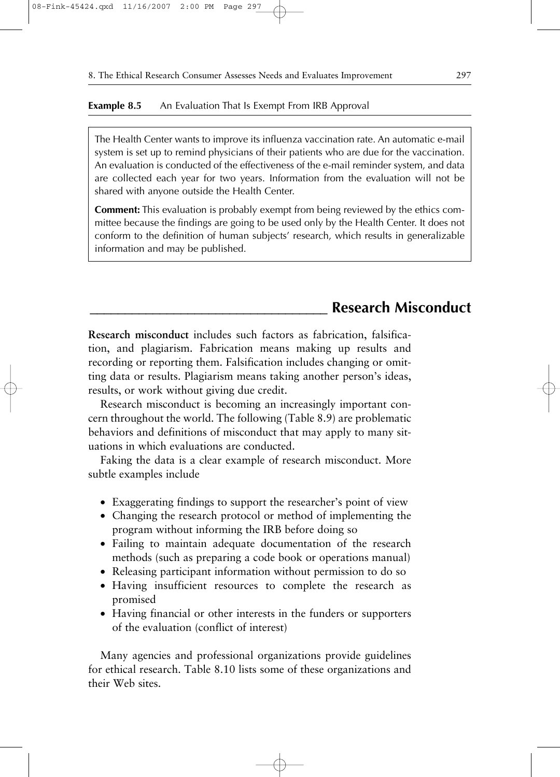#### **Example 8.5** An Evaluation That Is Exempt From IRB Approval

The Health Center wants to improve its influenza vaccination rate. An automatic e-mail system is set up to remind physicians of their patients who are due for the vaccination. An evaluation is conducted of the effectiveness of the e-mail reminder system, and data are collected each year for two years. Information from the evaluation will not be shared with anyone outside the Health Center.

**Comment:** This evaluation is probably exempt from being reviewed by the ethics committee because the findings are going to be used only by the Health Center. It does not conform to the definition of human subjects' research, which results in generalizable information and may be published.

## **\_\_\_\_\_\_\_\_\_\_\_\_\_\_\_\_\_\_\_\_\_\_\_\_\_\_\_\_\_\_\_\_\_\_ Research Misconduct**

**Research misconduct** includes such factors as fabrication, falsification, and plagiarism. Fabrication means making up results and recording or reporting them. Falsification includes changing or omitting data or results. Plagiarism means taking another person's ideas, results, or work without giving due credit.

Research misconduct is becoming an increasingly important concern throughout the world. The following (Table 8.9) are problematic behaviors and definitions of misconduct that may apply to many situations in which evaluations are conducted.

Faking the data is a clear example of research misconduct. More subtle examples include

- Exaggerating findings to support the researcher's point of view
- Changing the research protocol or method of implementing the program without informing the IRB before doing so
- Failing to maintain adequate documentation of the research methods (such as preparing a code book or operations manual)
- Releasing participant information without permission to do so
- Having insufficient resources to complete the research as promised
- Having financial or other interests in the funders or supporters of the evaluation (conflict of interest)

Many agencies and professional organizations provide guidelines for ethical research. Table 8.10 lists some of these organizations and their Web sites.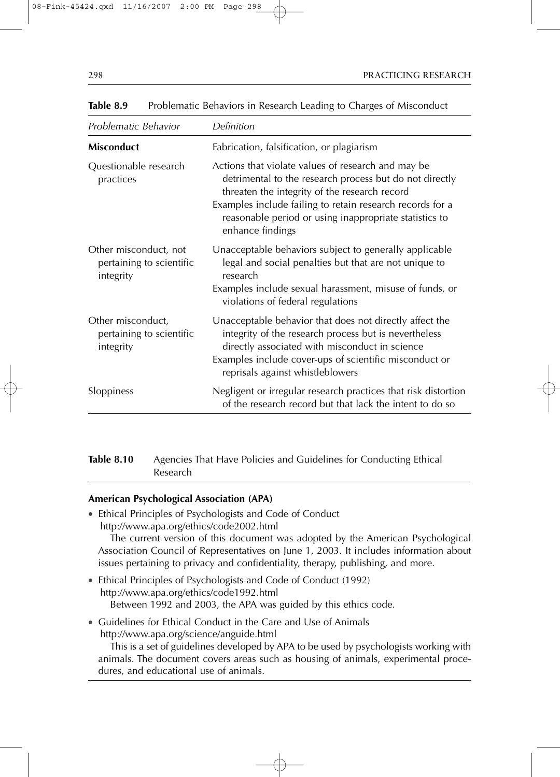| Problematic Behavior                                           | Definition                                                                                                                                                                                                                                                                                                |
|----------------------------------------------------------------|-----------------------------------------------------------------------------------------------------------------------------------------------------------------------------------------------------------------------------------------------------------------------------------------------------------|
| <b>Misconduct</b>                                              | Fabrication, falsification, or plagiarism                                                                                                                                                                                                                                                                 |
| Questionable research<br>practices                             | Actions that violate values of research and may be<br>detrimental to the research process but do not directly<br>threaten the integrity of the research record<br>Examples include failing to retain research records for a<br>reasonable period or using inappropriate statistics to<br>enhance findings |
| Other misconduct, not<br>pertaining to scientific<br>integrity | Unacceptable behaviors subject to generally applicable<br>legal and social penalties but that are not unique to<br>research<br>Examples include sexual harassment, misuse of funds, or<br>violations of federal regulations                                                                               |
| Other misconduct,<br>pertaining to scientific<br>integrity     | Unacceptable behavior that does not directly affect the<br>integrity of the research process but is nevertheless<br>directly associated with misconduct in science<br>Examples include cover-ups of scientific misconduct or<br>reprisals against whistleblowers                                          |
| Sloppiness                                                     | Negligent or irregular research practices that risk distortion<br>of the research record but that lack the intent to do so                                                                                                                                                                                |

**Table 8.9** Problematic Behaviors in Research Leading to Charges of Misconduct

### **Table 8.10** Agencies That Have Policies and Guidelines for Conducting Ethical Research

#### **American Psychological Association (APA)**

• Ethical Principles of Psychologists and Code of Conduct http://www.apa.org/ethics/code2002.html

The current version of this document was adopted by the American Psychological Association Council of Representatives on June 1, 2003. It includes information about issues pertaining to privacy and confidentiality, therapy, publishing, and more.

- Ethical Principles of Psychologists and Code of Conduct (1992) http://www.apa.org/ethics/code1992.html Between 1992 and 2003, the APA was guided by this ethics code.
- Guidelines for Ethical Conduct in the Care and Use of Animals http://www.apa.org/science/anguide.html

This is a set of guidelines developed by APA to be used by psychologists working with animals. The document covers areas such as housing of animals, experimental procedures, and educational use of animals.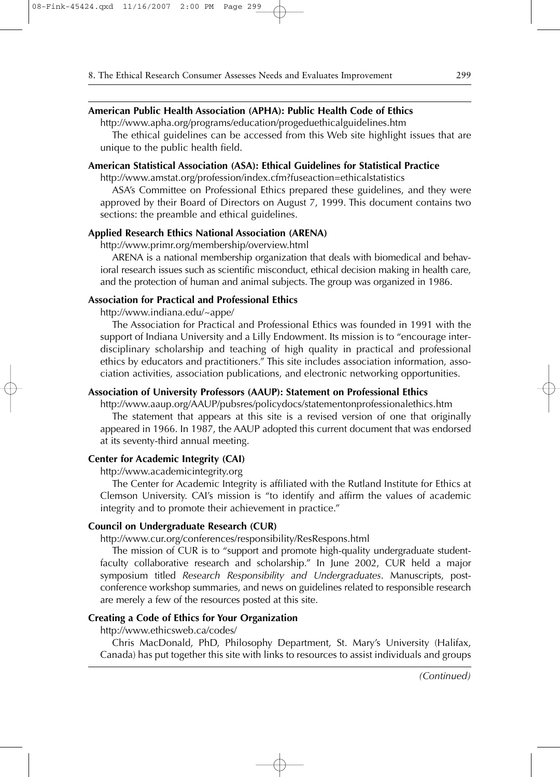

#### **American Public Health Association (APHA): Public Health Code of Ethics**

http://www.apha.org/programs/education/progeduethicalguidelines.htm The ethical guidelines can be accessed from this Web site highlight issues that are unique to the public health field.

#### **American Statistical Association (ASA): Ethical Guidelines for Statistical Practice**

http://www.amstat.org/profession/index.cfm?fuseaction=ethicalstatistics

ASA's Committee on Professional Ethics prepared these guidelines, and they were approved by their Board of Directors on August 7, 1999. This document contains two sections: the preamble and ethical guidelines.

#### **Applied Research Ethics National Association (ARENA)**

http://www.primr.org/membership/overview.html

ARENA is a national membership organization that deals with biomedical and behavioral research issues such as scientific misconduct, ethical decision making in health care, and the protection of human and animal subjects. The group was organized in 1986.

#### **Association for Practical and Professional Ethics**

http://www.indiana.edu/~appe/

The Association for Practical and Professional Ethics was founded in 1991 with the support of Indiana University and a Lilly Endowment. Its mission is to "encourage interdisciplinary scholarship and teaching of high quality in practical and professional ethics by educators and practitioners." This site includes association information, association activities, association publications, and electronic networking opportunities.

#### **Association of University Professors (AAUP): Statement on Professional Ethics**

http://www.aaup.org/AAUP/pubsres/policydocs/statementonprofessionalethics.htm The statement that appears at this site is a revised version of one that originally appeared in 1966. In 1987, the AAUP adopted this current document that was endorsed at its seventy-third annual meeting.

#### **Center for Academic Integrity (CAI)**

http://www.academicintegrity.org

The Center for Academic Integrity is affiliated with the Rutland Institute for Ethics at Clemson University. CAI's mission is "to identify and affirm the values of academic integrity and to promote their achievement in practice."

#### **Council on Undergraduate Research (CUR)**

http://www.cur.org/conferences/responsibility/ResRespons.html

The mission of CUR is to "support and promote high-quality undergraduate studentfaculty collaborative research and scholarship." In June 2002, CUR held a major symposium titled *Research Responsibility and Undergraduates*. Manuscripts, postconference workshop summaries, and news on guidelines related to responsible research are merely a few of the resources posted at this site.

#### **Creating a Code of Ethics for Your Organization**

http://www.ethicsweb.ca/codes/

Chris MacDonald, PhD, Philosophy Department, St. Mary's University (Halifax, Canada) has put together this site with links to resources to assist individuals and groups

*(Continued)*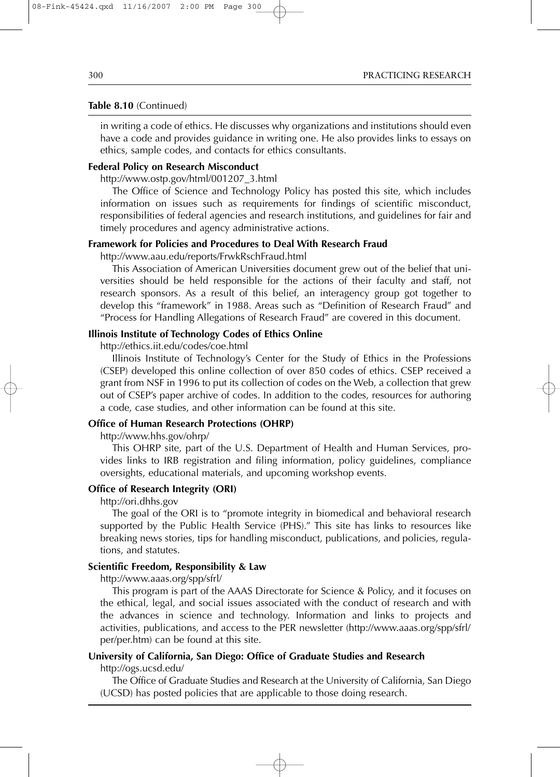#### **Table 8.10** (Continued)

in writing a code of ethics. He discusses why organizations and institutions should even have a code and provides guidance in writing one. He also provides links to essays on ethics, sample codes, and contacts for ethics consultants.

#### **Federal Policy on Research Misconduct**

http://www.ostp.gov/html/001207\_3.html

The Office of Science and Technology Policy has posted this site, which includes information on issues such as requirements for findings of scientific misconduct, responsibilities of federal agencies and research institutions, and guidelines for fair and timely procedures and agency administrative actions.

#### **Framework for Policies and Procedures to Deal With Research Fraud**

http://www.aau.edu/reports/FrwkRschFraud.html

This Association of American Universities document grew out of the belief that universities should be held responsible for the actions of their faculty and staff, not research sponsors. As a result of this belief, an interagency group got together to develop this "framework" in 1988. Areas such as "Definition of Research Fraud" and "Process for Handling Allegations of Research Fraud" are covered in this document.

#### **Illinois Institute of Technology Codes of Ethics Online**

http://ethics.iit.edu/codes/coe.html

Illinois Institute of Technology's Center for the Study of Ethics in the Professions (CSEP) developed this online collection of over 850 codes of ethics. CSEP received a grant from NSF in 1996 to put its collection of codes on the Web, a collection that grew out of CSEP's paper archive of codes. In addition to the codes, resources for authoring a code, case studies, and other information can be found at this site.

#### **Office of Human Research Protections (OHRP)**

http://www.hhs.gov/ohrp/

This OHRP site, part of the U.S. Department of Health and Human Services, provides links to IRB registration and filing information, policy guidelines, compliance oversights, educational materials, and upcoming workshop events.

#### **Office of Research Integrity (ORI)**

http://ori.dhhs.gov

The goal of the ORI is to "promote integrity in biomedical and behavioral research supported by the Public Health Service (PHS)." This site has links to resources like breaking news stories, tips for handling misconduct, publications, and policies, regulations, and statutes.

#### **Scientific Freedom, Responsibility & Law**

http://www.aaas.org/spp/sfrl/

This program is part of the AAAS Directorate for Science & Policy, and it focuses on the ethical, legal, and social issues associated with the conduct of research and with the advances in science and technology. Information and links to projects and activities, publications, and access to the PER newsletter (http://www.aaas.org/spp/sfrl/ per/per.htm) can be found at this site.

#### **University of California, San Diego: Office of Graduate Studies and Research**

http://ogs.ucsd.edu/

The Office of Graduate Studies and Research at the University of California, San Diego (UCSD) has posted policies that are applicable to those doing research.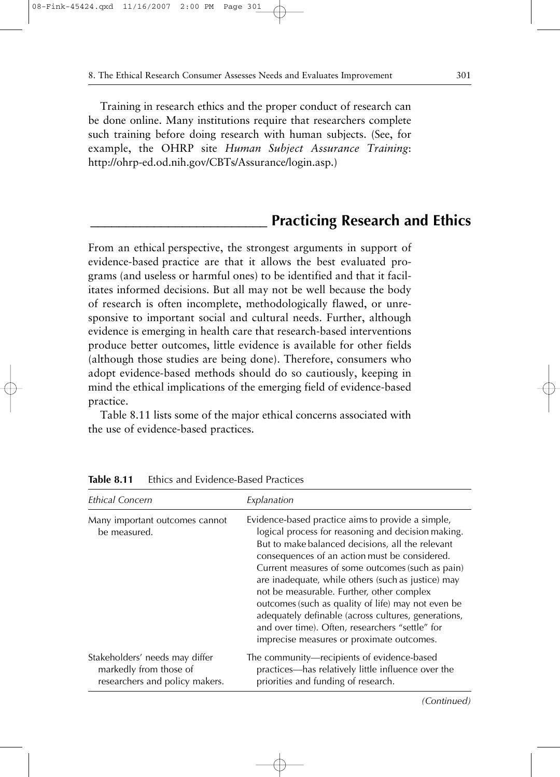

Training in research ethics and the proper conduct of research can be done online. Many institutions require that researchers complete such training before doing research with human subjects. (See, for example, the OHRP site *Human Subject Assurance Training*: http://ohrp-ed.od.nih.gov/CBTs/Assurance/login.asp.)

## **\_\_\_\_\_\_\_\_\_\_\_\_\_\_\_\_\_\_\_\_\_\_\_\_\_ Practicing Research and Ethics**

From an ethical perspective, the strongest arguments in support of evidence-based practice are that it allows the best evaluated programs (and useless or harmful ones) to be identified and that it facilitates informed decisions. But all may not be well because the body of research is often incomplete, methodologically flawed, or unresponsive to important social and cultural needs. Further, although evidence is emerging in health care that research-based interventions produce better outcomes, little evidence is available for other fields (although those studies are being done). Therefore, consumers who adopt evidence-based methods should do so cautiously, keeping in mind the ethical implications of the emerging field of evidence-based practice.

Table 8.11 lists some of the major ethical concerns associated with the use of evidence-based practices.

| <b>Ethical Concern</b>                                                                     | Explanation                                                                                                                                                                                                                                                                                                                                                                                                                                                                                                                                                                      |
|--------------------------------------------------------------------------------------------|----------------------------------------------------------------------------------------------------------------------------------------------------------------------------------------------------------------------------------------------------------------------------------------------------------------------------------------------------------------------------------------------------------------------------------------------------------------------------------------------------------------------------------------------------------------------------------|
| Many important outcomes cannot<br>be measured.                                             | Evidence-based practice aims to provide a simple,<br>logical process for reasoning and decision making.<br>But to make balanced decisions, all the relevant<br>consequences of an action must be considered.<br>Current measures of some outcomes (such as pain)<br>are inadequate, while others (such as justice) may<br>not be measurable. Further, other complex<br>outcomes (such as quality of life) may not even be<br>adequately definable (across cultures, generations,<br>and over time). Often, researchers "settle" for<br>imprecise measures or proximate outcomes. |
| Stakeholders' needs may differ<br>markedly from those of<br>researchers and policy makers. | The community—recipients of evidence-based<br>practices—has relatively little influence over the<br>priorities and funding of research.                                                                                                                                                                                                                                                                                                                                                                                                                                          |

**Table 8.11** Ethics and Evidence-Based Practices

*(Continued)*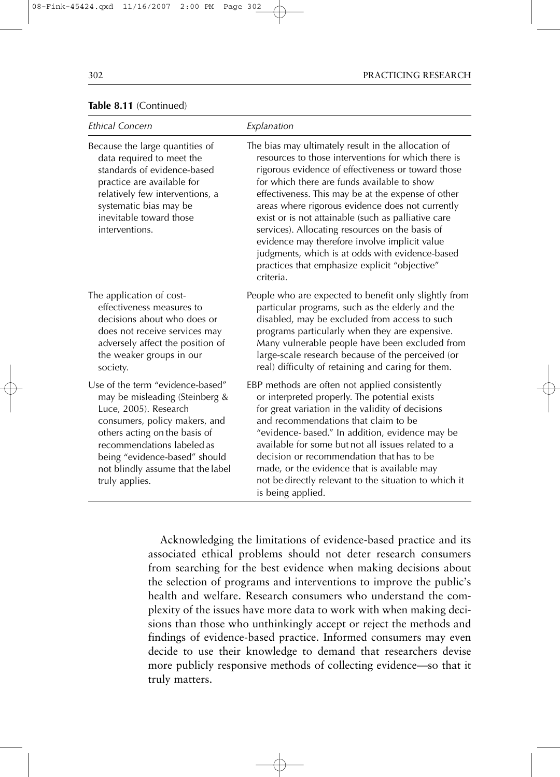#### 302 PRACTICING RESEARCH

#### **Table 8.11** (Continued)

| <b>Ethical Concern</b>                                                                                                                                                                                                                                                              | Explanation                                                                                                                                                                                                                                                                                                                                                                                                                                                                                                                                                                                           |
|-------------------------------------------------------------------------------------------------------------------------------------------------------------------------------------------------------------------------------------------------------------------------------------|-------------------------------------------------------------------------------------------------------------------------------------------------------------------------------------------------------------------------------------------------------------------------------------------------------------------------------------------------------------------------------------------------------------------------------------------------------------------------------------------------------------------------------------------------------------------------------------------------------|
| Because the large quantities of<br>data required to meet the<br>standards of evidence-based<br>practice are available for<br>relatively few interventions, a<br>systematic bias may be<br>inevitable toward those<br>interventions.                                                 | The bias may ultimately result in the allocation of<br>resources to those interventions for which there is<br>rigorous evidence of effectiveness or toward those<br>for which there are funds available to show<br>effectiveness. This may be at the expense of other<br>areas where rigorous evidence does not currently<br>exist or is not attainable (such as palliative care<br>services). Allocating resources on the basis of<br>evidence may therefore involve implicit value<br>judgments, which is at odds with evidence-based<br>practices that emphasize explicit "objective"<br>criteria. |
| The application of cost-<br>effectiveness measures to<br>decisions about who does or<br>does not receive services may<br>adversely affect the position of<br>the weaker groups in our<br>society.                                                                                   | People who are expected to benefit only slightly from<br>particular programs, such as the elderly and the<br>disabled, may be excluded from access to such<br>programs particularly when they are expensive.<br>Many vulnerable people have been excluded from<br>large-scale research because of the perceived (or<br>real) difficulty of retaining and caring for them.                                                                                                                                                                                                                             |
| Use of the term "evidence-based"<br>may be misleading (Steinberg &<br>Luce, 2005). Research<br>consumers, policy makers, and<br>others acting on the basis of<br>recommendations labeled as<br>being "evidence-based" should<br>not blindly assume that the label<br>truly applies. | EBP methods are often not applied consistently<br>or interpreted properly. The potential exists<br>for great variation in the validity of decisions<br>and recommendations that claim to be<br>"evidence-based." In addition, evidence may be<br>available for some but not all issues related to a<br>decision or recommendation that has to be<br>made, or the evidence that is available may<br>not be directly relevant to the situation to which it<br>is being applied.                                                                                                                         |

Acknowledging the limitations of evidence-based practice and its associated ethical problems should not deter research consumers from searching for the best evidence when making decisions about the selection of programs and interventions to improve the public's health and welfare. Research consumers who understand the complexity of the issues have more data to work with when making decisions than those who unthinkingly accept or reject the methods and findings of evidence-based practice. Informed consumers may even decide to use their knowledge to demand that researchers devise more publicly responsive methods of collecting evidence—so that it truly matters.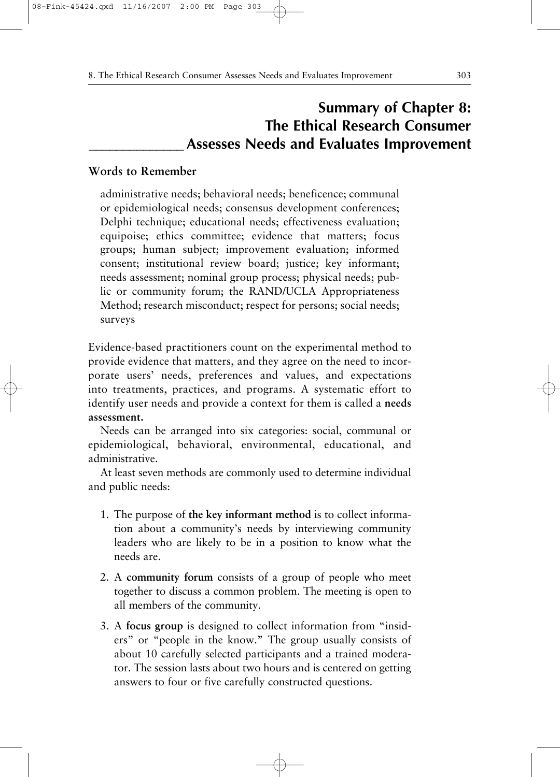

## **Summary of Chapter 8: The Ethical Research Consumer \_\_\_\_\_\_\_\_\_\_\_\_\_\_ Assesses Needs and Evaluates Improvement**

### **Words to Remember**

administrative needs; behavioral needs; beneficence; communal or epidemiological needs; consensus development conferences; Delphi technique; educational needs; effectiveness evaluation; equipoise; ethics committee; evidence that matters; focus groups; human subject; improvement evaluation; informed consent; institutional review board; justice; key informant; needs assessment; nominal group process; physical needs; public or community forum; the RAND/UCLA Appropriateness Method; research misconduct; respect for persons; social needs; surveys

Evidence-based practitioners count on the experimental method to provide evidence that matters, and they agree on the need to incorporate users' needs, preferences and values, and expectations into treatments, practices, and programs. A systematic effort to identify user needs and provide a context for them is called a **needs assessment.**

Needs can be arranged into six categories: social, communal or epidemiological, behavioral, environmental, educational, and administrative.

At least seven methods are commonly used to determine individual and public needs:

- 1. The purpose of **the key informant method** is to collect information about a community's needs by interviewing community leaders who are likely to be in a position to know what the needs are.
- 2. A **community forum** consists of a group of people who meet together to discuss a common problem. The meeting is open to all members of the community.
- 3. A **focus group** is designed to collect information from "insiders" or "people in the know." The group usually consists of about 10 carefully selected participants and a trained moderator. The session lasts about two hours and is centered on getting answers to four or five carefully constructed questions.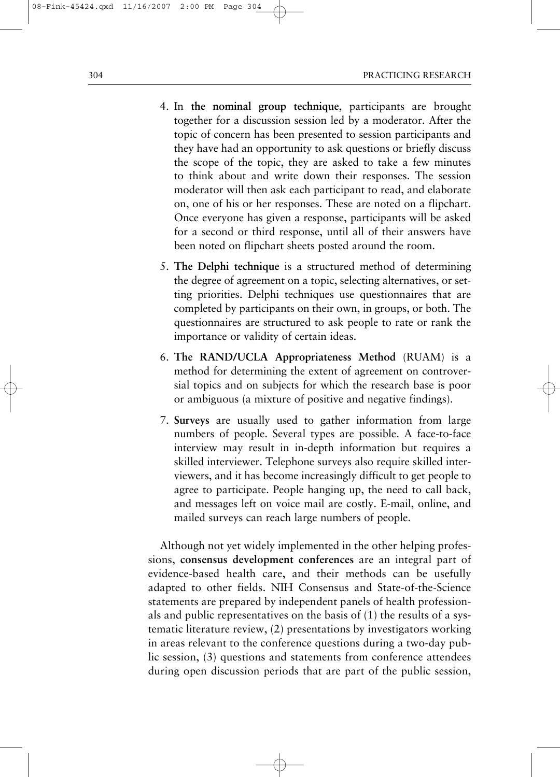- 4. In **the nominal group technique**, participants are brought together for a discussion session led by a moderator. After the topic of concern has been presented to session participants and they have had an opportunity to ask questions or briefly discuss the scope of the topic, they are asked to take a few minutes to think about and write down their responses. The session moderator will then ask each participant to read, and elaborate on, one of his or her responses. These are noted on a flipchart. Once everyone has given a response, participants will be asked for a second or third response, until all of their answers have been noted on flipchart sheets posted around the room.
- 5. **The Delphi technique** is a structured method of determining the degree of agreement on a topic, selecting alternatives, or setting priorities. Delphi techniques use questionnaires that are completed by participants on their own, in groups, or both. The questionnaires are structured to ask people to rate or rank the importance or validity of certain ideas.
- 6. **The RAND/UCLA Appropriateness Method** (RUAM) is a method for determining the extent of agreement on controversial topics and on subjects for which the research base is poor or ambiguous (a mixture of positive and negative findings).
- 7. **Surveys** are usually used to gather information from large numbers of people. Several types are possible. A face-to-face interview may result in in-depth information but requires a skilled interviewer. Telephone surveys also require skilled interviewers, and it has become increasingly difficult to get people to agree to participate. People hanging up, the need to call back, and messages left on voice mail are costly. E-mail, online, and mailed surveys can reach large numbers of people.

Although not yet widely implemented in the other helping professions, **consensus development conferences** are an integral part of evidence-based health care, and their methods can be usefully adapted to other fields. NIH Consensus and State-of-the-Science statements are prepared by independent panels of health professionals and public representatives on the basis of (1) the results of a systematic literature review, (2) presentations by investigators working in areas relevant to the conference questions during a two-day public session, (3) questions and statements from conference attendees during open discussion periods that are part of the public session,

08-Fink-45424.qxd 11/16/2007 2:00 PM Page 304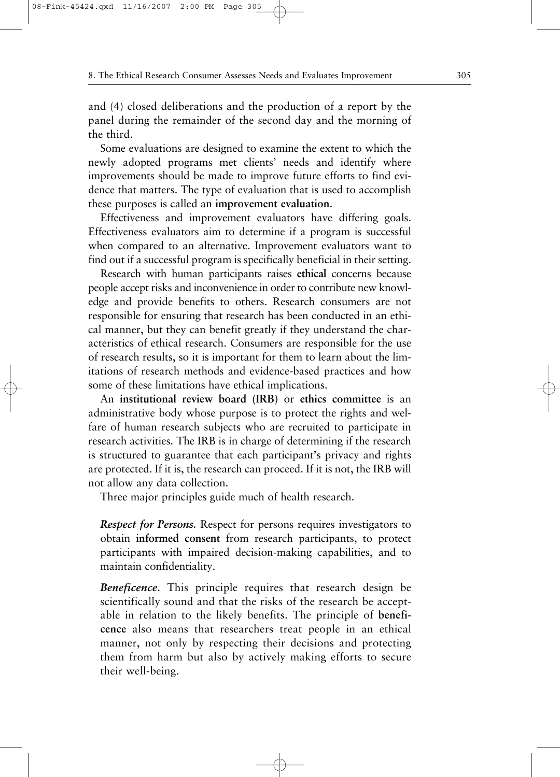08-Fink-45424.qxd 11/16/2007 2:00 PM Page 305

and (4) closed deliberations and the production of a report by the panel during the remainder of the second day and the morning of the third.

Some evaluations are designed to examine the extent to which the newly adopted programs met clients' needs and identify where improvements should be made to improve future efforts to find evidence that matters. The type of evaluation that is used to accomplish these purposes is called an **improvement evaluation**.

Effectiveness and improvement evaluators have differing goals. Effectiveness evaluators aim to determine if a program is successful when compared to an alternative. Improvement evaluators want to find out if a successful program is specifically beneficial in their setting.

Research with human participants raises **ethical** concerns because people accept risks and inconvenience in order to contribute new knowledge and provide benefits to others. Research consumers are not responsible for ensuring that research has been conducted in an ethical manner, but they can benefit greatly if they understand the characteristics of ethical research. Consumers are responsible for the use of research results, so it is important for them to learn about the limitations of research methods and evidence-based practices and how some of these limitations have ethical implications.

An **institutional review board (IRB)** or **ethics committee** is an administrative body whose purpose is to protect the rights and welfare of human research subjects who are recruited to participate in research activities*.* The IRB is in charge of determining if the research is structured to guarantee that each participant's privacy and rights are protected. If it is, the research can proceed. If it is not, the IRB will not allow any data collection.

Three major principles guide much of health research.

*Respect for Persons.* Respect for persons requires investigators to obtain **informed consent** from research participants, to protect participants with impaired decision-making capabilities, and to maintain confidentiality.

*Beneficence.* This principle requires that research design be scientifically sound and that the risks of the research be acceptable in relation to the likely benefits. The principle of **beneficence** also means that researchers treat people in an ethical manner, not only by respecting their decisions and protecting them from harm but also by actively making efforts to secure their well-being.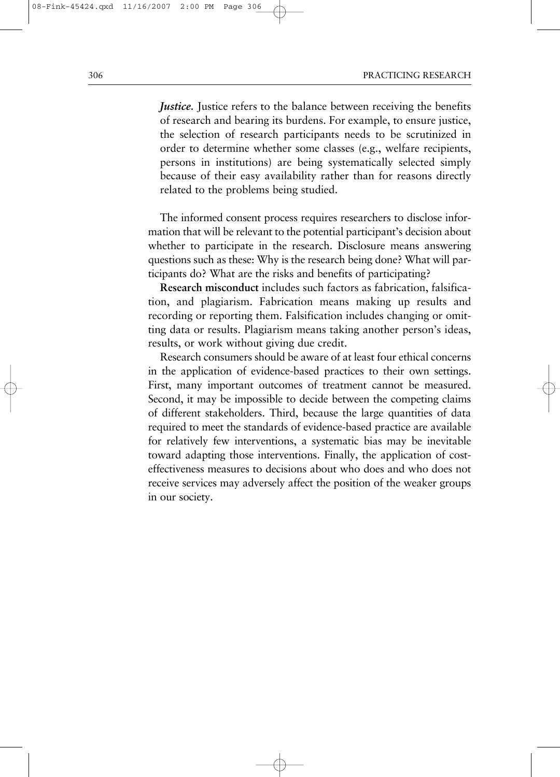*Justice*. Justice refers to the balance between receiving the benefits of research and bearing its burdens. For example, to ensure justice, the selection of research participants needs to be scrutinized in order to determine whether some classes (e.g., welfare recipients, persons in institutions) are being systematically selected simply because of their easy availability rather than for reasons directly related to the problems being studied.

The informed consent process requires researchers to disclose information that will be relevant to the potential participant's decision about whether to participate in the research. Disclosure means answering questions such as these: Why is the research being done? What will participants do? What are the risks and benefits of participating?

**Research misconduct** includes such factors as fabrication, falsification, and plagiarism. Fabrication means making up results and recording or reporting them. Falsification includes changing or omitting data or results. Plagiarism means taking another person's ideas, results, or work without giving due credit.

Research consumers should be aware of at least four ethical concerns in the application of evidence-based practices to their own settings. First, many important outcomes of treatment cannot be measured. Second, it may be impossible to decide between the competing claims of different stakeholders. Third, because the large quantities of data required to meet the standards of evidence-based practice are available for relatively few interventions, a systematic bias may be inevitable toward adapting those interventions. Finally, the application of costeffectiveness measures to decisions about who does and who does not receive services may adversely affect the position of the weaker groups in our society.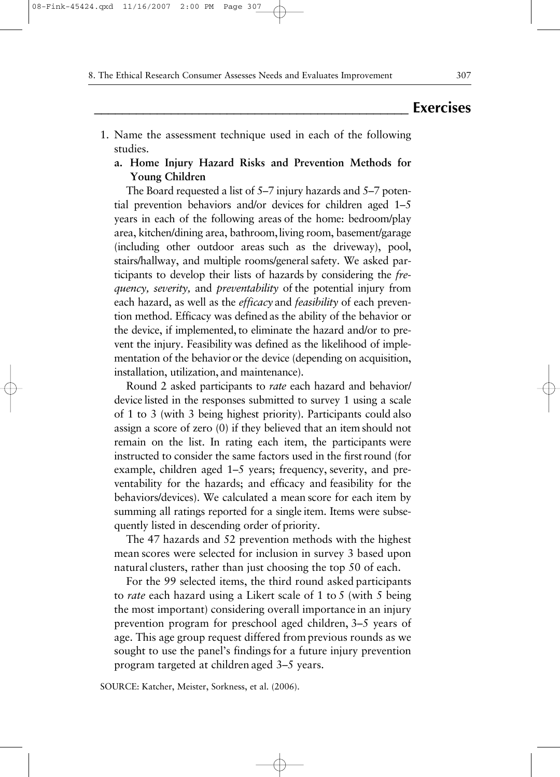

08-Fink-45424.qxd 11/16/2007 2:00 PM Page 307

## **\_\_\_\_\_\_\_\_\_\_\_\_\_\_\_\_\_\_\_\_\_\_\_\_\_\_\_\_\_\_\_\_\_\_\_\_\_\_\_\_\_\_\_\_\_ Exercises**

- 1. Name the assessment technique used in each of the following studies.
	- **a. Home Injury Hazard Risks and Prevention Methods for Young Children**

The Board requested a list of 5–7 injury hazards and 5–7 potential prevention behaviors and/or devices for children aged 1–5 years in each of the following areas of the home: bedroom/play area, kitchen/dining area, bathroom, living room, basement/garage (including other outdoor areas such as the driveway), pool, stairs/hallway, and multiple rooms/general safety. We asked participants to develop their lists of hazards by considering the *frequency, severity,* and *preventability* of the potential injury from each hazard, as well as the *efficacy* and *feasibility* of each prevention method. Efficacy was defined as the ability of the behavior or the device, if implemented, to eliminate the hazard and/or to prevent the injury. Feasibility was defined as the likelihood of implementation of the behavior or the device (depending on acquisition, installation, utilization, and maintenance).

Round 2 asked participants to *rate* each hazard and behavior/ device listed in the responses submitted to survey 1 using a scale of 1 to 3 (with 3 being highest priority). Participants could also assign a score of zero (0) if they believed that an item should not remain on the list. In rating each item, the participants were instructed to consider the same factors used in the first round (for example, children aged 1–5 years; frequency, severity, and preventability for the hazards; and efficacy and feasibility for the behaviors/devices). We calculated a mean score for each item by summing all ratings reported for a single item. Items were subsequently listed in descending order of priority.

The 47 hazards and 52 prevention methods with the highest mean scores were selected for inclusion in survey 3 based upon natural clusters, rather than just choosing the top 50 of each.

For the 99 selected items, the third round asked participants to *rate* each hazard using a Likert scale of 1 to 5 (with 5 being the most important) considering overall importance in an injury prevention program for preschool aged children, 3–5 years of age. This age group request differed from previous rounds as we sought to use the panel's findings for a future injury prevention program targeted at children aged 3–5 years.

SOURCE: Katcher, Meister, Sorkness, et al. (2006).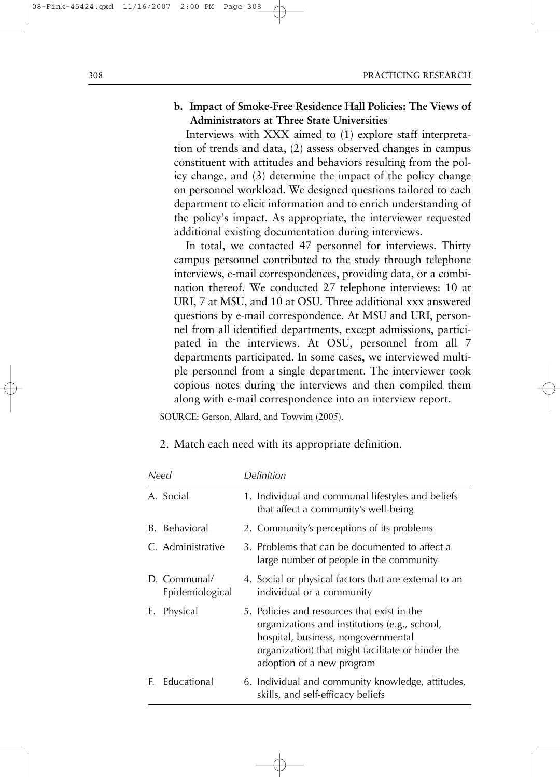## **b. Impact of Smoke-Free Residence Hall Policies: The Views of Administrators at Three State Universities**

Interviews with XXX aimed to (1) explore staff interpretation of trends and data, (2) assess observed changes in campus constituent with attitudes and behaviors resulting from the policy change, and (3) determine the impact of the policy change on personnel workload. We designed questions tailored to each department to elicit information and to enrich understanding of the policy's impact. As appropriate, the interviewer requested additional existing documentation during interviews.

In total, we contacted 47 personnel for interviews. Thirty campus personnel contributed to the study through telephone interviews, e-mail correspondences, providing data, or a combination thereof. We conducted 27 telephone interviews: 10 at URI, 7 at MSU, and 10 at OSU. Three additional xxx answered questions by e-mail correspondence. At MSU and URI, personnel from all identified departments, except admissions, participated in the interviews. At OSU, personnel from all 7 departments participated. In some cases, we interviewed multiple personnel from a single department. The interviewer took copious notes during the interviews and then compiled them along with e-mail correspondence into an interview report.

SOURCE: Gerson, Allard, and Towvim (2005).

2. Match each need with its appropriate definition.

| Need |                                 | Definition |                                                                                                                                                                                                                       |  |  |
|------|---------------------------------|------------|-----------------------------------------------------------------------------------------------------------------------------------------------------------------------------------------------------------------------|--|--|
|      | A. Social                       |            | 1. Individual and communal lifestyles and beliefs<br>that affect a community's well-being                                                                                                                             |  |  |
|      | B. Behavioral                   |            | 2. Community's perceptions of its problems                                                                                                                                                                            |  |  |
|      | C. Administrative               |            | 3. Problems that can be documented to affect a<br>large number of people in the community                                                                                                                             |  |  |
|      | D. Communal/<br>Epidemiological |            | 4. Social or physical factors that are external to an<br>individual or a community                                                                                                                                    |  |  |
|      | E. Physical                     |            | 5. Policies and resources that exist in the<br>organizations and institutions (e.g., school,<br>hospital, business, nongovernmental<br>organization) that might facilitate or hinder the<br>adoption of a new program |  |  |
| E.   | Educational                     |            | 6. Individual and community knowledge, attitudes,<br>skills, and self-efficacy beliefs                                                                                                                                |  |  |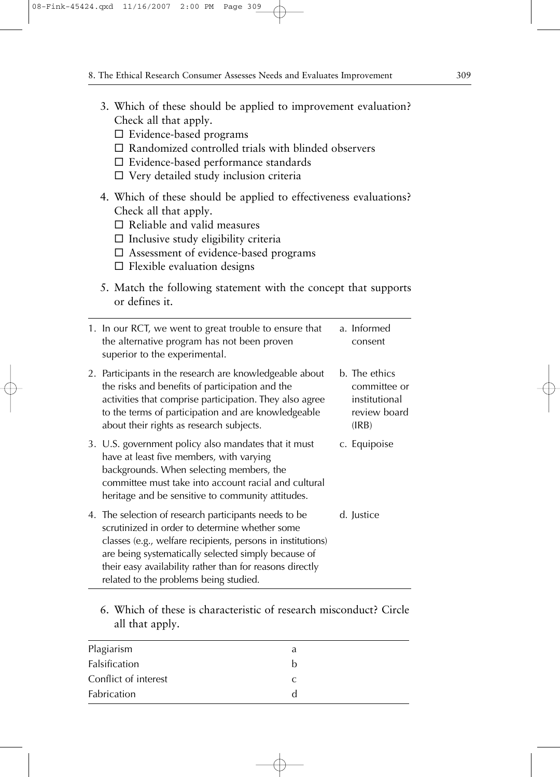

- 3. Which of these should be applied to improvement evaluation? Check all that apply.
	- $\square$  Evidence-based programs
	- $\square$  Randomized controlled trials with blinded observers
	- $\square$  Evidence-based performance standards
	- Very detailed study inclusion criteria
- 4. Which of these should be applied to effectiveness evaluations? Check all that apply.
	- $\square$  Reliable and valid measures
	- $\Box$  Inclusive study eligibility criteria
	- Assessment of evidence-based programs
	- $\Box$  Flexible evaluation designs
- 5. Match the following statement with the concept that supports or defines it.

| 1. In our RCT, we went to great trouble to ensure that<br>the alternative program has not been proven<br>superior to the experimental.                                                                                                                                                                                              | a. Informed<br>consent                                                  |
|-------------------------------------------------------------------------------------------------------------------------------------------------------------------------------------------------------------------------------------------------------------------------------------------------------------------------------------|-------------------------------------------------------------------------|
| 2. Participants in the research are knowledgeable about<br>the risks and benefits of participation and the<br>activities that comprise participation. They also agree<br>to the terms of participation and are knowledgeable<br>about their rights as research subjects.                                                            | b. The ethics<br>committee or<br>institutional<br>review board<br>(IRB) |
| 3. U.S. government policy also mandates that it must<br>have at least five members, with varying<br>backgrounds. When selecting members, the<br>committee must take into account racial and cultural<br>heritage and be sensitive to community attitudes.                                                                           | c. Equipoise                                                            |
| 4. The selection of research participants needs to be<br>scrutinized in order to determine whether some<br>classes (e.g., welfare recipients, persons in institutions)<br>are being systematically selected simply because of<br>their easy availability rather than for reasons directly<br>related to the problems being studied. | d. Justice                                                              |

6. Which of these is characteristic of research misconduct? Circle all that apply.

| Plagiarism           | a |
|----------------------|---|
| Falsification        | h |
| Conflict of interest | C |
| Fabrication          | d |